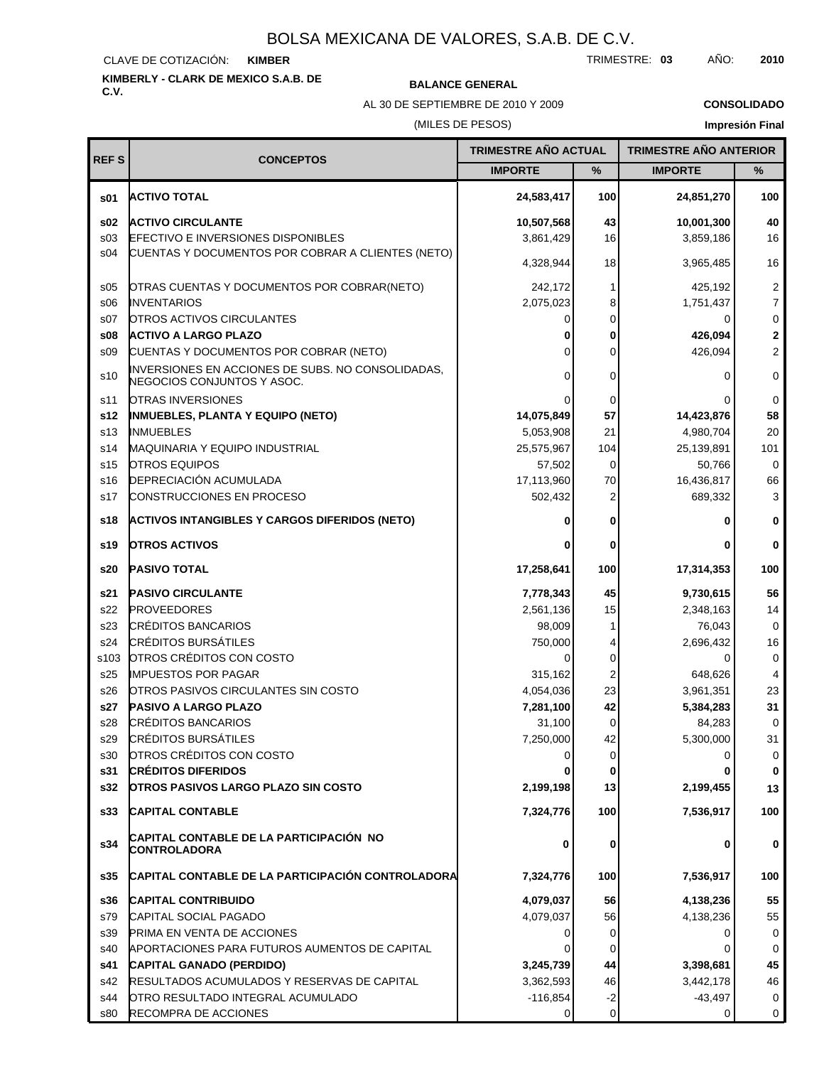CLAVE DE COTIZACIÓN: **KIMBER**

# **KIMBERLY - CLARK DE MEXICO S.A.B. DE C.V. BALANCE GENERAL**

AL 30 DE SEPTIEMBRE DE 2010 Y 2009

**CONSOLIDADO**

## (MILES DE PESOS)

| <b>REFS</b>     | <b>CONCEPTOS</b>                                                                | <b>TRIMESTRE AÑO ACTUAL</b> |             | <b>TRIMESTRE AÑO ANTERIOR</b> |                         |
|-----------------|---------------------------------------------------------------------------------|-----------------------------|-------------|-------------------------------|-------------------------|
|                 |                                                                                 | <b>IMPORTE</b>              | %           | <b>IMPORTE</b>                | %                       |
| \$01            | <b>ACTIVO TOTAL</b>                                                             | 24,583,417                  | 100         | 24,851,270                    | 100                     |
| \$02            | <b>ACTIVO CIRCULANTE</b>                                                        | 10,507,568                  | 43          | 10,001,300                    | 40                      |
| s <sub>03</sub> | <b>EFECTIVO E INVERSIONES DISPONIBLES</b>                                       | 3,861,429                   | 16          | 3,859,186                     | 16                      |
| s04             | CUENTAS Y DOCUMENTOS POR COBRAR A CLIENTES (NETO)                               | 4,328,944                   | 18          | 3,965,485                     | 16                      |
| \$05            | OTRAS CUENTAS Y DOCUMENTOS POR COBRAR(NETO)                                     | 242,172                     | 1           | 425,192                       | $\overline{\mathbf{c}}$ |
| \$06            | <b>INVENTARIOS</b>                                                              | 2,075,023                   | 8           | 1,751,437                     | $\overline{7}$          |
| S <sub>07</sub> | <b>OTROS ACTIVOS CIRCULANTES</b>                                                | 0                           | 0           | 0                             | 0                       |
| \$08            | <b>ACTIVO A LARGO PLAZO</b>                                                     | 0                           | 0           | 426,094                       | 2                       |
| \$09            | CUENTAS Y DOCUMENTOS POR COBRAR (NETO)                                          | 0                           | $\mathbf 0$ | 426,094                       | $\overline{2}$          |
| s10             | INVERSIONES EN ACCIONES DE SUBS. NO CONSOLIDADAS,<br>NEGOCIOS CONJUNTOS Y ASOC. | 0                           | 0           | 0                             | 0                       |
| s11             | OTRAS INVERSIONES                                                               | 0                           | 0           | $\Omega$                      | $\mathbf 0$             |
| s12             | <b>INMUEBLES, PLANTA Y EQUIPO (NETO)</b>                                        | 14,075,849                  | 57          | 14,423,876                    | 58                      |
| s <sub>13</sub> | <b>INMUEBLES</b>                                                                | 5,053,908                   | 21          | 4,980,704                     | 20                      |
| s14             | MAQUINARIA Y EQUIPO INDUSTRIAL                                                  | 25,575,967                  | 104         | 25,139,891                    | 101                     |
| s15             | <b>OTROS EQUIPOS</b>                                                            | 57,502                      | 0           | 50,766                        | $\mathbf 0$             |
| s16             | <b>DEPRECIACIÓN ACUMULADA</b>                                                   | 17,113,960                  | 70          | 16,436,817                    | 66                      |
| s17             | <b>CONSTRUCCIONES EN PROCESO</b>                                                | 502,432                     | 2           | 689,332                       | 3                       |
| s18             | ACTIVOS INTANGIBLES Y CARGOS DIFERIDOS (NETO)                                   | 0                           | 0           | 0                             | $\bf{0}$                |
| s19             | <b>OTROS ACTIVOS</b>                                                            | 0                           | 0           | 0                             | 0                       |
| s20             | <b>PASIVO TOTAL</b>                                                             | 17,258,641                  | 100         | 17,314,353                    | 100                     |
| s21             | <b>PASIVO CIRCULANTE</b>                                                        | 7,778,343                   | 45          | 9,730,615                     | 56                      |
| s22             | <b>PROVEEDORES</b>                                                              | 2,561,136                   | 15          | 2,348,163                     | 14                      |
| s23             | <b>CRÉDITOS BANCARIOS</b>                                                       | 98,009                      | 1           | 76,043                        | $\mathbf 0$             |
| s24             | <b>CRÉDITOS BURSÁTILES</b>                                                      | 750,000                     | 4           | 2,696,432                     | 16                      |
| s103            | OTROS CRÉDITOS CON COSTO                                                        | 0                           | 0           | 0                             | 0                       |
| s25             | <b>IMPUESTOS POR PAGAR</b>                                                      | 315,162                     | 2           | 648,626                       | $\overline{4}$          |
| s26             | <b>OTROS PASIVOS CIRCULANTES SIN COSTO</b>                                      | 4,054,036                   | 23          | 3,961,351                     | 23                      |
| s27             | <b>PASIVO A LARGO PLAZO</b>                                                     | 7,281,100                   | 42          | 5,384,283                     | 31                      |
| s28             | <b>CRÉDITOS BANCARIOS</b>                                                       | 31,100                      | 0           | 84,283                        | 0                       |
| s29             | <b>CRÉDITOS BURSÁTILES</b>                                                      | 7,250,000                   | 42          | 5,300,000                     | 31                      |
| s30             | OTROS CRÉDITOS CON COSTO                                                        | $\overline{0}$              | 0           | 0                             | 0                       |
| s31             | <b>CRÉDITOS DIFERIDOS</b>                                                       |                             | 0           | 0                             | 0                       |
| s32             | <b>OTROS PASIVOS LARGO PLAZO SIN COSTO</b>                                      | 2,199,198                   | 13          | 2,199,455                     | 13                      |
| s33             | <b>CAPITAL CONTABLE</b>                                                         | 7,324,776                   | 100         | 7,536,917                     | 100                     |
| s34             | CAPITAL CONTABLE DE LA PARTICIPACION  NO<br><b>CONTROLADORA</b>                 | 0                           | 0           | 0                             | 0                       |
| s35             | CAPITAL CONTABLE DE LA PARTICIPACIÓN CONTROLADORA                               | 7,324,776                   | 100         | 7,536,917                     | 100                     |
| s36             | <b>CAPITAL CONTRIBUIDO</b>                                                      | 4,079,037                   | 56          | 4,138,236                     | 55                      |
| s79             | CAPITAL SOCIAL PAGADO                                                           | 4,079,037                   | 56          | 4,138,236                     | 55                      |
| s39             | <b>PRIMA EN VENTA DE ACCIONES</b>                                               | 0                           | 0           | 0                             | 0                       |
| s40             | APORTACIONES PARA FUTUROS AUMENTOS DE CAPITAL                                   |                             | 0           | 0                             | 0                       |
| s41             | CAPITAL GANADO (PERDIDO)                                                        | 3,245,739                   | 44          | 3,398,681                     | 45                      |
| s42             | RESULTADOS ACUMULADOS Y RESERVAS DE CAPITAL                                     | 3,362,593                   | 46          | 3,442,178                     | 46                      |
| s44             | OTRO RESULTADO INTEGRAL ACUMULADO                                               | $-116,854$                  | $-2$        | $-43,497$                     | 0                       |
| s80             | RECOMPRA DE ACCIONES                                                            | 0                           | 0           | 0                             | 0                       |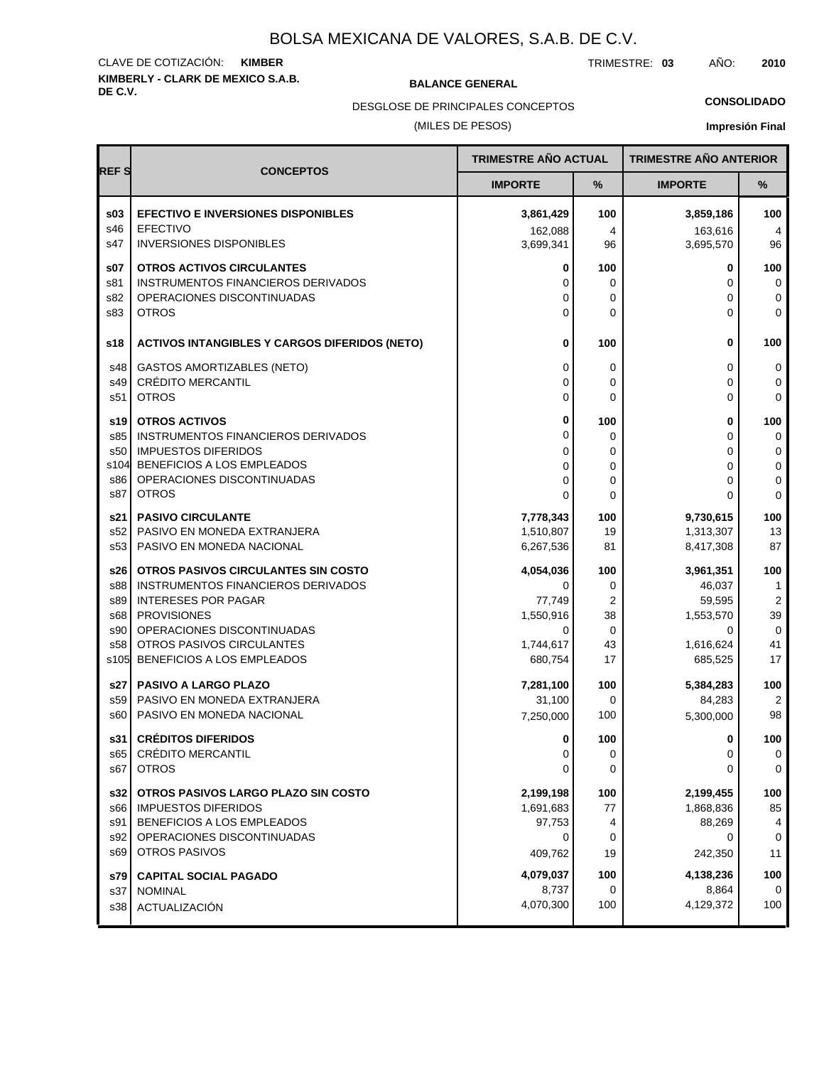# **KIMBERLY - CLARK DE MEXICO S.A.B.** CLAVE DE COTIZACIÓN: **KIMBER**

**BALANCE GENERAL** 

TRIMESTRE: **03** AÑO: **2010**

(MILES DE PESOS) DESGLOSE DE PRINCIPALES CONCEPTOS

## **CONSOLIDADO**

|             |                                                         | TRIMESTRE AÑO ACTUAL |                   | <b>TRIMESTRE AÑO ANTERIOR</b> |                |
|-------------|---------------------------------------------------------|----------------------|-------------------|-------------------------------|----------------|
| <b>REFS</b> | <b>CONCEPTOS</b>                                        | <b>IMPORTE</b>       | $\%$              | <b>IMPORTE</b>                | %              |
| \$03        | <b>EFECTIVO E INVERSIONES DISPONIBLES</b>               | 3,861,429            | 100               | 3,859,186                     | 100            |
| s46         | <b>EFECTIVO</b>                                         | 162,088              | 4                 | 163,616                       | 4              |
| s47         | <b>INVERSIONES DISPONIBLES</b>                          | 3,699,341            | 96                | 3,695,570                     | 96             |
| s07         | <b>OTROS ACTIVOS CIRCULANTES</b>                        | 0                    | 100               | 0                             | 100            |
| s81         | <b>INSTRUMENTOS FINANCIEROS DERIVADOS</b>               | 0                    | 0                 | 0                             | 0              |
| s82         | OPERACIONES DISCONTINUADAS                              | 0                    | 0                 | 0                             | 0              |
| s83         | <b>OTROS</b>                                            | 0                    | 0                 | 0                             | $\mathbf 0$    |
| s18         | <b>ACTIVOS INTANGIBLES Y CARGOS DIFERIDOS (NETO)</b>    | 0                    | 100               | 0                             | 100            |
| s48         | GASTOS AMORTIZABLES (NETO)                              | 0                    | 0                 | 0                             | 0              |
| s49         | <b>CRÉDITO MERCANTIL</b>                                | 0                    | 0                 | 0                             | 0              |
| s51         | <b>OTROS</b>                                            | 0                    | 0                 | $\Omega$                      | 0              |
| s19         | <b>OTROS ACTIVOS</b>                                    | 0                    | 100               | 0                             | 100            |
| s85         | <b>INSTRUMENTOS FINANCIEROS DERIVADOS</b>               | 0                    | 0                 | 0                             | 0              |
| s50         | <b>IMPUESTOS DIFERIDOS</b>                              | 0                    | 0                 | 0                             | 0              |
|             | s104 BENEFICIOS A LOS EMPLEADOS                         | 0                    | 0                 | 0                             | 0              |
| s86         | OPERACIONES DISCONTINUADAS                              | 0                    | 0                 | 0                             | 0              |
| s87         | <b>OTROS</b>                                            | 0                    | 0                 | 0                             | $\mathbf 0$    |
| s21         | <b>PASIVO CIRCULANTE</b>                                | 7,778,343            | 100               | 9,730,615                     | 100            |
| s52         | PASIVO EN MONEDA EXTRANJERA                             | 1,510,807            | 19                | 1,313,307                     | 13             |
| s53         | PASIVO EN MONEDA NACIONAL                               | 6,267,536            | 81                | 8,417,308                     | 87             |
| s26         | OTROS PASIVOS CIRCULANTES SIN COSTO                     | 4,054,036            | 100               | 3,961,351                     | 100            |
| s88         | INSTRUMENTOS FINANCIEROS DERIVADOS                      | 0                    | 0                 | 46,037                        | 1              |
| s89         | <b>INTERESES POR PAGAR</b>                              | 77,749               | 2                 | 59,595                        | $\overline{2}$ |
| s68         | <b>PROVISIONES</b>                                      | 1,550,916            | 38                | 1,553,570                     | 39             |
| s90<br>s58  | OPERACIONES DISCONTINUADAS<br>OTROS PASIVOS CIRCULANTES | 0<br>1,744,617       | $\mathbf 0$<br>43 | 0<br>1,616,624                | 0<br>41        |
| s105        | BENEFICIOS A LOS EMPLEADOS                              | 680,754              | 17                | 685,525                       | 17             |
|             |                                                         |                      |                   |                               |                |
| s27         | <b>PASIVO A LARGO PLAZO</b>                             | 7,281,100            | 100               | 5,384,283                     | 100            |
| s59         | PASIVO EN MONEDA EXTRANJERA                             | 31,100               | 0                 | 84,283                        | $\overline{2}$ |
| s60         | PASIVO EN MONEDA NACIONAL                               | 7,250,000            | 100               | 5,300,000                     | 98             |
|             | s31 CRÉDITOS DIFERIDOS                                  | 0                    | 100               | 0                             | 100            |
| s65         | CRÉDITO MERCANTIL                                       | 0                    | 0                 | 0                             | 0              |
| s67         | <b>OTROS</b>                                            | 0                    | 0                 | 0                             | 0              |
| s32         | OTROS PASIVOS LARGO PLAZO SIN COSTO                     | 2,199,198            | 100               | 2,199,455                     | 100            |
| s66         | <b>IMPUESTOS DIFERIDOS</b>                              | 1,691,683            | 77                | 1,868,836                     | 85             |
| s91         | BENEFICIOS A LOS EMPLEADOS                              | 97,753               | 4                 | 88,269                        | 4              |
| s92         | OPERACIONES DISCONTINUADAS                              | 0                    | 0                 | 0                             | 0              |
| s69         | <b>OTROS PASIVOS</b>                                    | 409,762              | 19                | 242,350                       | 11             |
| s79         | <b>CAPITAL SOCIAL PAGADO</b>                            | 4,079,037            | 100               | 4,138,236                     | 100            |
| s37         | <b>NOMINAL</b>                                          | 8,737                | 0                 | 8,864                         | 0              |
| s38         | ACTUALIZACIÓN                                           | 4,070,300            | 100               | 4,129,372                     | 100            |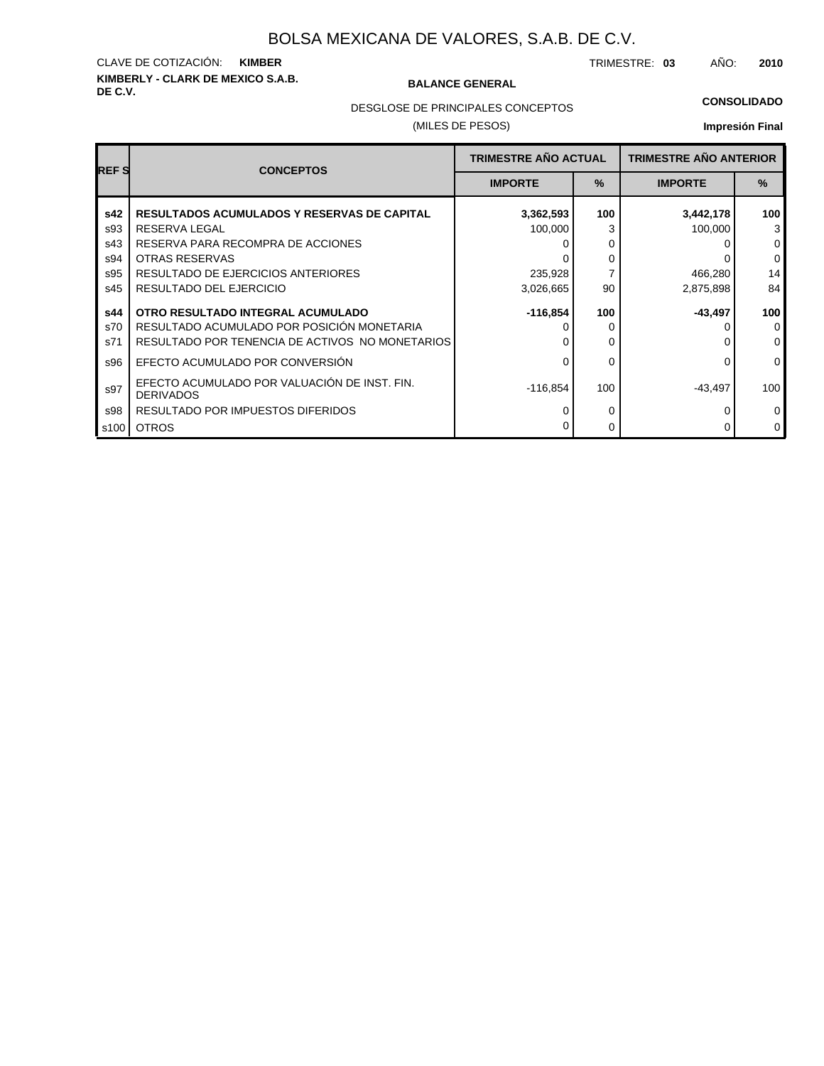# **KIMBERLY - CLARK DE MEXICO S.A.B.** CLAVE DE COTIZACIÓN: **KIMBER**

#### **BALANCE GENERAL**

TRIMESTRE: **03** AÑO: **2010**

#### **CONSOLIDADO**

DESGLOSE DE PRINCIPALES CONCEPTOS

### (MILES DE PESOS)

| <b>REFS</b>              | <b>CONCEPTOS</b>                                                                                                                                                      | <b>TRIMESTRE AÑO ACTUAL</b> |                    | <b>TRIMESTRE AÑO ANTERIOR</b> |                                                  |
|--------------------------|-----------------------------------------------------------------------------------------------------------------------------------------------------------------------|-----------------------------|--------------------|-------------------------------|--------------------------------------------------|
|                          |                                                                                                                                                                       | <b>IMPORTE</b>              | $\frac{9}{6}$      | <b>IMPORTE</b>                | $\frac{9}{6}$                                    |
| s42<br>s93<br>s43<br>s94 | <b>RESULTADOS ACUMULADOS Y RESERVAS DE CAPITAL</b><br>RESERVA LEGAL<br>RESERVA PARA RECOMPRA DE ACCIONES<br>OTRAS RESERVAS                                            | 3,362,593<br>100,000        | 100<br>3<br>0<br>0 | 3,442,178<br>100,000          | 100<br>3<br>$\mathbf 0$<br>0                     |
| s95<br>s45               | <b>RESULTADO DE EJERCICIOS ANTERIORES</b><br>RESULTADO DEL EJERCICIO                                                                                                  | 235,928<br>3,026,665        | 7<br>90            | 466,280<br>2,875,898          | 14<br>84                                         |
| s44<br>s70<br>s71<br>s96 | OTRO RESULTADO INTEGRAL ACUMULADO<br>RESULTADO ACUMULADO POR POSICIÓN MONETARIA<br>RESULTADO POR TENENCIA DE ACTIVOS NO MONETARIOS<br>EFECTO ACUMULADO POR CONVERSIÓN | $-116,854$<br>0             | 100<br>0<br>0<br>0 | $-43,497$<br>0                | 100<br>$\mathbf 0$<br>$\mathbf 0$<br>$\mathbf 0$ |
| s97<br>s98               | EFECTO ACUMULADO POR VALUACIÓN DE INST. FIN.<br><b>DERIVADOS</b><br>RESULTADO POR IMPUESTOS DIFERIDOS                                                                 | $-116,854$<br>O             | 100<br>0           | -43,497                       | 100<br>0                                         |
| s100                     | <b>OTROS</b>                                                                                                                                                          |                             | 0                  |                               | $\mathbf 0$                                      |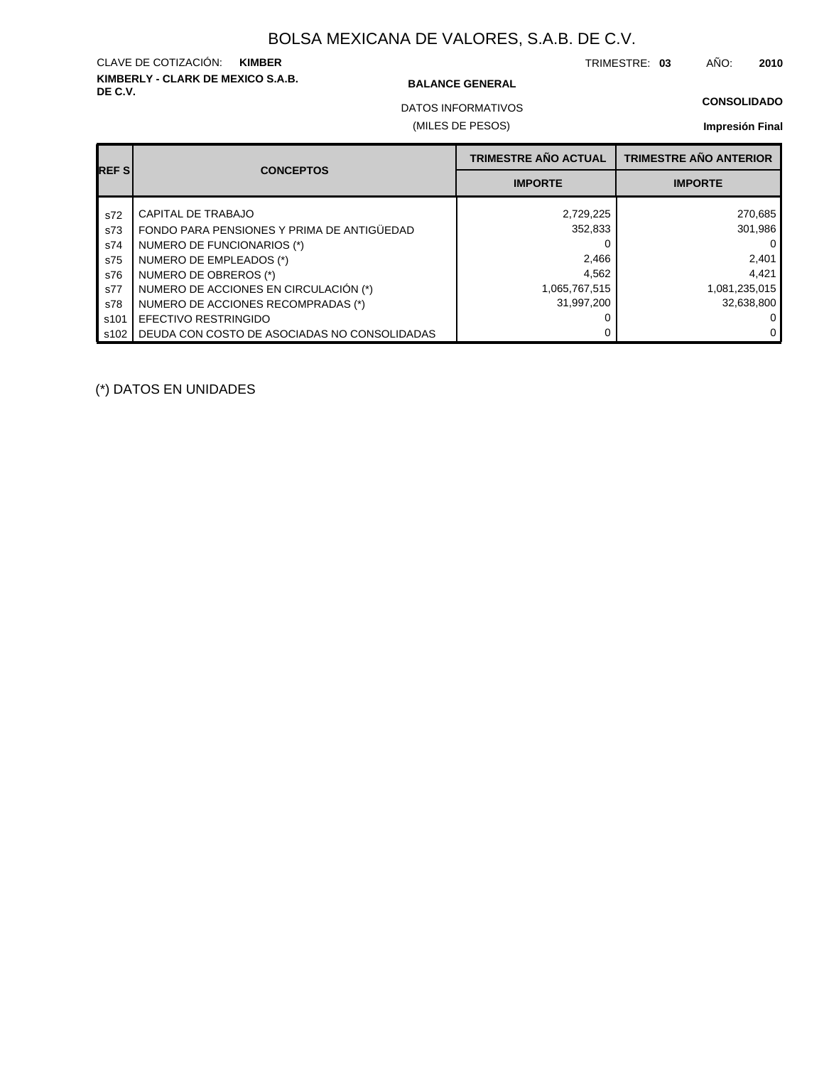# **KIMBERLY - CLARK DE MEXICO S.A.B.** CLAVE DE COTIZACIÓN: **KIMBER**

#### **BALANCE GENERAL**

TRIMESTRE: **03** AÑO: **2010**

**CONSOLIDADO**

(MILES DE PESOS) DATOS INFORMATIVOS

## **Impresión Final**

| <b>REFS</b> |                                              | <b>TRIMESTRE AÑO ACTUAL</b> | <b>TRIMESTRE AÑO ANTERIOR</b> |
|-------------|----------------------------------------------|-----------------------------|-------------------------------|
|             | <b>CONCEPTOS</b>                             | <b>IMPORTE</b>              | <b>IMPORTE</b>                |
| s72         | CAPITAL DE TRABAJO                           | 2,729,225                   | 270,685                       |
| s73         | FONDO PARA PENSIONES Y PRIMA DE ANTIGÜEDAD   | 352,833                     | 301.986                       |
| s74         | NUMERO DE FUNCIONARIOS (*)                   |                             |                               |
| s75         | NUMERO DE EMPLEADOS (*)                      | 2,466                       | 2,401                         |
| s76         | NUMERO DE OBREROS (*)                        | 4,562                       | 4,421                         |
| s77         | NUMERO DE ACCIONES EN CIRCULACIÓN (*)        | 1,065,767,515               | 1,081,235,015                 |
| s78         | NUMERO DE ACCIONES RECOMPRADAS (*)           | 31.997.200                  | 32.638.800                    |
| s101        | EFECTIVO RESTRINGIDO                         |                             |                               |
| s102        | DEUDA CON COSTO DE ASOCIADAS NO CONSOLIDADAS |                             | 0                             |

(\*) DATOS EN UNIDADES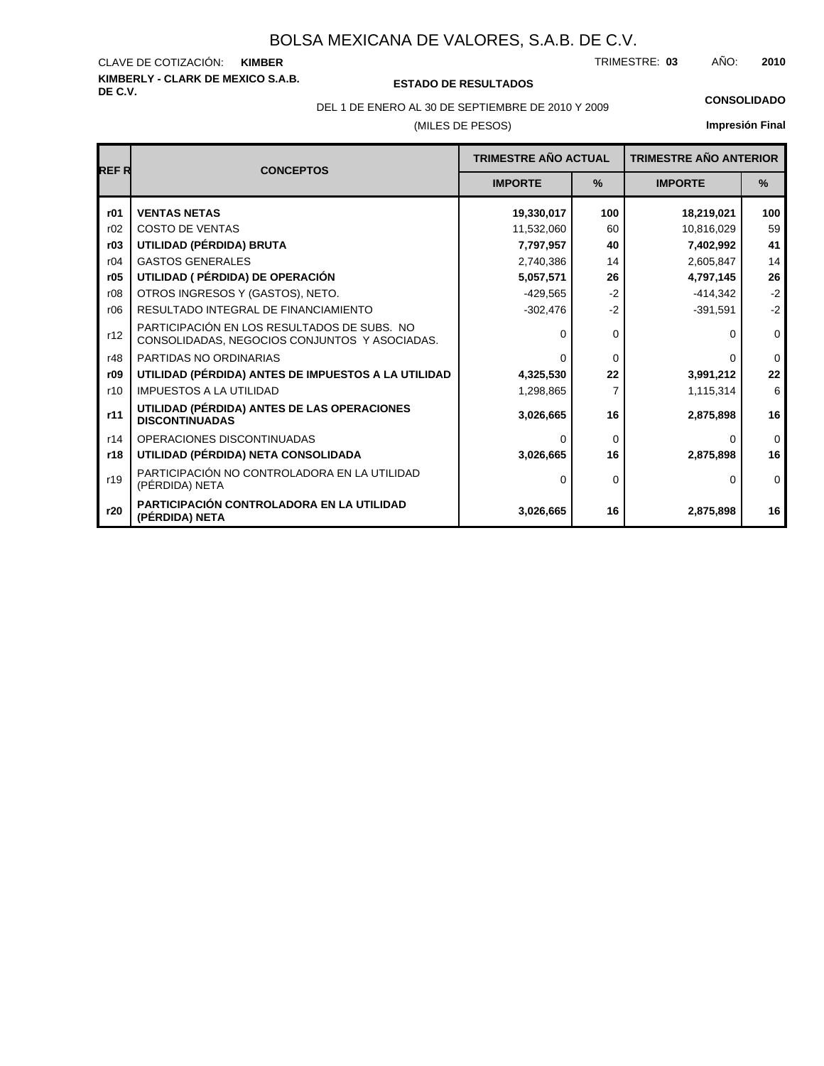# **KIMBERLY - CLARK DE MEXICO S.A.B.** CLAVE DE COTIZACIÓN:

**DE C.V. ESTADO DE RESULTADOS**

TRIMESTRE: AÑO: **KIMBER 03 2010**

(MILES DE PESOS) DEL 1 DE ENERO AL 30 DE SEPTIEMBRE DE 2010 Y 2009 **CONSOLIDADO**

| <b>REFR</b> | <b>CONCEPTOS</b>                                                                             | <b>TRIMESTRE AÑO ACTUAL</b><br>$\frac{9}{6}$<br><b>IMPORTE</b> |                | <b>TRIMESTRE AÑO ANTERIOR</b> |              |
|-------------|----------------------------------------------------------------------------------------------|----------------------------------------------------------------|----------------|-------------------------------|--------------|
|             |                                                                                              |                                                                |                | <b>IMPORTE</b>                | %            |
| r01         | <b>VENTAS NETAS</b>                                                                          | 19,330,017                                                     | 100            | 18,219,021                    | 100          |
| r02         | <b>COSTO DE VENTAS</b>                                                                       | 11,532,060                                                     | 60             | 10,816,029                    | 59           |
| r03         | UTILIDAD (PÉRDIDA) BRUTA                                                                     | 7,797,957                                                      | 40             | 7,402,992                     | 41           |
| r04         | <b>GASTOS GENERALES</b>                                                                      | 2,740,386                                                      | 14             | 2,605,847                     | 14           |
| r05         | UTILIDAD ( PÉRDIDA) DE OPERACIÓN                                                             | 5,057,571                                                      | 26             | 4,797,145                     | 26           |
| r08         | OTROS INGRESOS Y (GASTOS), NETO.                                                             | $-429.565$                                                     | $-2$           | $-414.342$                    | $-2$         |
| r06         | RESULTADO INTEGRAL DE FINANCIAMIENTO                                                         | $-302,476$                                                     | $-2$           | $-391,591$                    | $-2$         |
| r12         | PARTICIPACIÓN EN LOS RESULTADOS DE SUBS. NO<br>CONSOLIDADAS, NEGOCIOS CONJUNTOS Y ASOCIADAS. | O                                                              | 0              | U                             | $\mathbf 0$  |
| r48         | PARTIDAS NO ORDINARIAS                                                                       | ∩                                                              | $\Omega$       | U                             | $\mathbf{0}$ |
| r09         | UTILIDAD (PÉRDIDA) ANTES DE IMPUESTOS A LA UTILIDAD                                          | 4,325,530                                                      | 22             | 3,991,212                     | 22           |
| r10         | <b>IMPUESTOS A LA UTILIDAD</b>                                                               | 1,298,865                                                      | $\overline{7}$ | 1,115,314                     | 6            |
| r11         | UTILIDAD (PÉRDIDA) ANTES DE LAS OPERACIONES<br><b>DISCONTINUADAS</b>                         | 3,026,665                                                      | 16             | 2,875,898                     | 16           |
| r14         | OPERACIONES DISCONTINUADAS                                                                   | ∩                                                              | $\Omega$       | 0                             | $\Omega$     |
| r18         | UTILIDAD (PÉRDIDA) NETA CONSOLIDADA                                                          | 3,026,665                                                      | 16             | 2,875,898                     | 16           |
| r19         | PARTICIPACIÓN NO CONTROLADORA EN LA UTILIDAD<br>(PÉRDIDA) NETA                               | $\Omega$                                                       | 0              | 0                             | $\Omega$     |
| r20         | PARTICIPACIÓN CONTROLADORA EN LA UTILIDAD<br>(PÉRDIDA) NETA                                  | 3,026,665                                                      | 16             | 2,875,898                     | 16           |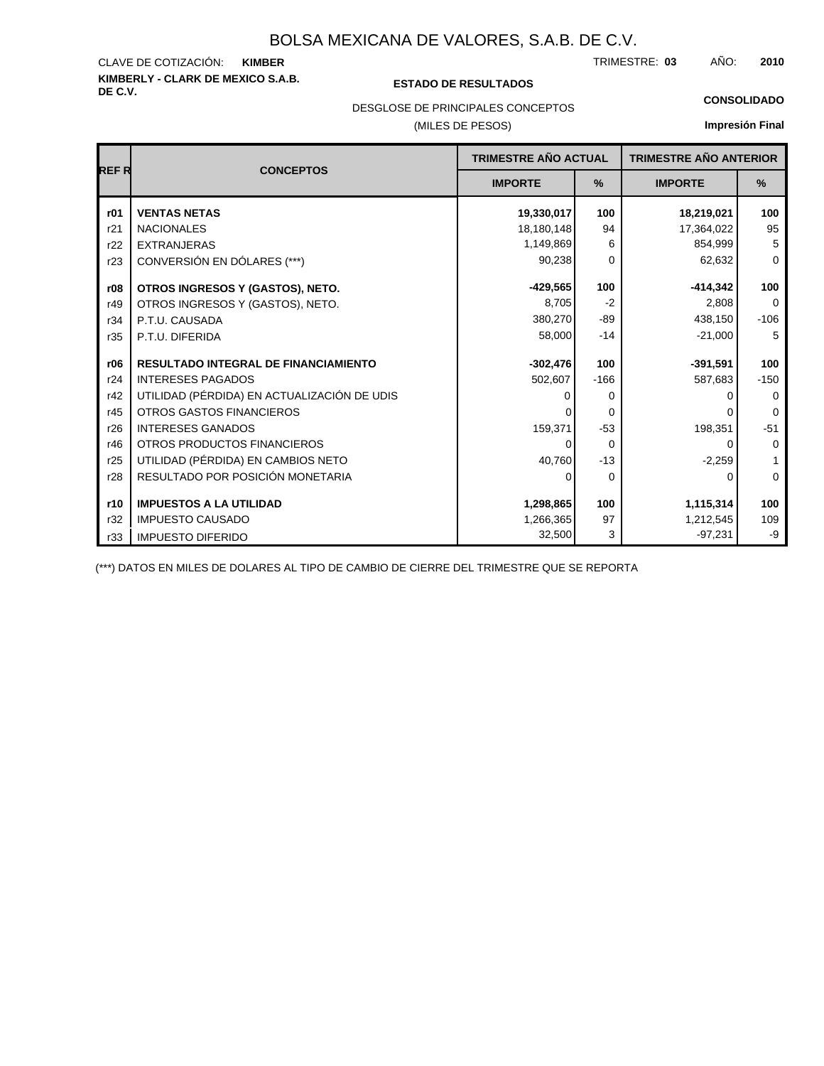# **KIMBERLY - CLARK DE MEXICO S.A.B.** CLAVE DE COTIZACIÓN:

#### **DE C.V. ESTADO DE RESULTADOS**

TRIMESTRE: AÑO: **KIMBER 03 2010**

**CONSOLIDADO**

### DESGLOSE DE PRINCIPALES CONCEPTOS

### (MILES DE PESOS)

**Impresión Final**

|             |                                             | TRIMESTRE AÑO ACTUAL |        | <b>TRIMESTRE AÑO ANTERIOR</b> |             |
|-------------|---------------------------------------------|----------------------|--------|-------------------------------|-------------|
| <b>REFR</b> | <b>CONCEPTOS</b>                            | <b>IMPORTE</b>       | %      | <b>IMPORTE</b>                | %           |
| r01         | <b>VENTAS NETAS</b>                         | 19,330,017           | 100    | 18,219,021                    | 100         |
| r21         | <b>NACIONALES</b>                           | 18,180,148           | 94     | 17,364,022                    | 95          |
| r22         | <b>EXTRANJERAS</b>                          | 1,149,869            | 6      | 854,999                       | 5           |
| r23         | CONVERSIÓN EN DÓLARES (***)                 | 90,238               | 0      | 62,632                        | $\Omega$    |
| r08         | OTROS INGRESOS Y (GASTOS), NETO.            | $-429,565$           | 100    | $-414,342$                    | 100         |
| r49         | OTROS INGRESOS Y (GASTOS), NETO.            | 8,705                | $-2$   | 2,808                         | $\Omega$    |
| r34         | P.T.U. CAUSADA                              | 380,270              | -89    | 438,150                       | $-106$      |
| r35         | P.T.U. DIFERIDA                             | 58,000<br>$-14$      |        | $-21,000$                     | 5           |
| r06         | <b>RESULTADO INTEGRAL DE FINANCIAMIENTO</b> | $-302,476$           | 100    | $-391,591$                    | 100         |
| r24         | <b>INTERESES PAGADOS</b>                    | 502,607              | $-166$ | 587,683                       | $-150$      |
| r42         | UTILIDAD (PÉRDIDA) EN ACTUALIZACIÓN DE UDIS | 0                    | 0      |                               | $\Omega$    |
| r45         | <b>OTROS GASTOS FINANCIEROS</b>             |                      | 0      |                               | $\Omega$    |
| r26         | <b>INTERESES GANADOS</b>                    | 159,371              | $-53$  | 198,351                       | $-51$       |
| r46         | OTROS PRODUCTOS FINANCIEROS                 | 0                    | 0      | 0                             | $\mathbf 0$ |
| r25         | UTILIDAD (PÉRDIDA) EN CAMBIOS NETO          | 40,760               | $-13$  | $-2,259$                      | 1           |
| r28         | RESULTADO POR POSICIÓN MONETARIA            | 0                    | 0      | 0                             | $\mathbf 0$ |
| r10         | <b>IMPUESTOS A LA UTILIDAD</b>              | 1,298,865            | 100    | 1,115,314                     | 100         |
| r32         | <b>IMPUESTO CAUSADO</b>                     | 1,266,365            | 97     | 1,212,545                     | 109         |
| r33         | <b>IMPUESTO DIFERIDO</b>                    | 32,500               | 3      | $-97,231$                     | -9          |

(\*\*\*) DATOS EN MILES DE DOLARES AL TIPO DE CAMBIO DE CIERRE DEL TRIMESTRE QUE SE REPORTA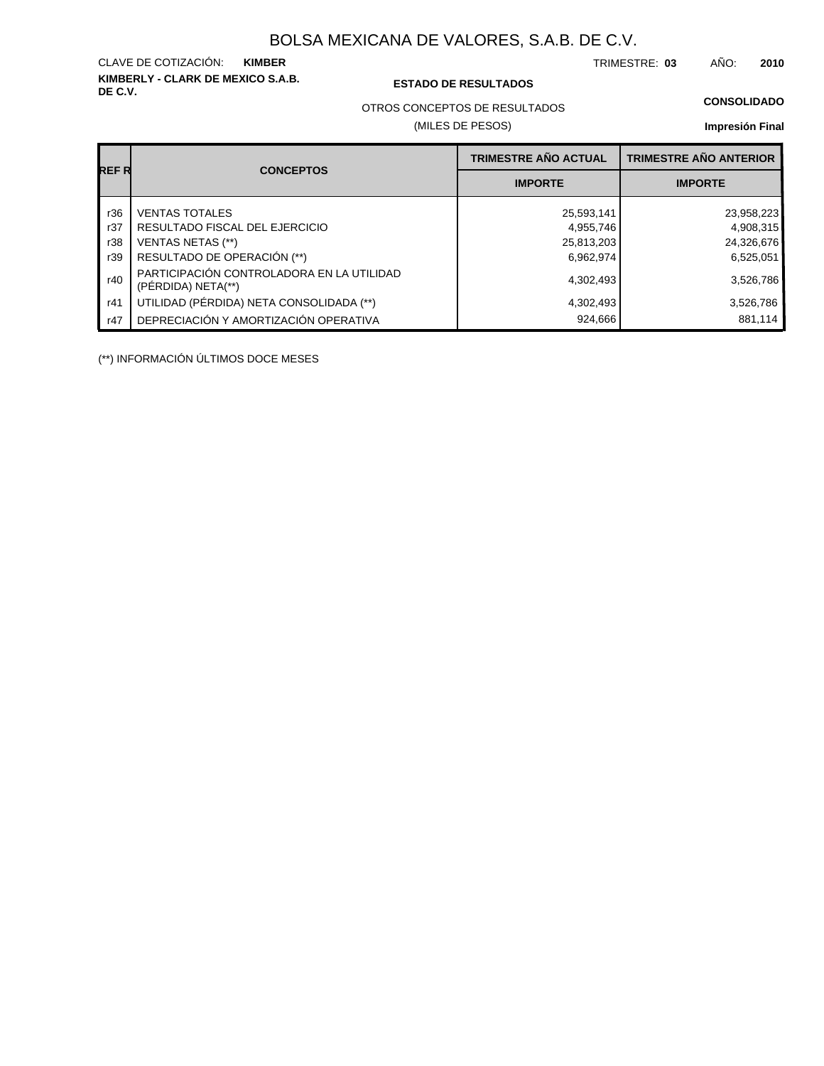**KIMBERLY - CLARK DE MEXICO S.A.B.** CLAVE DE COTIZACIÓN:

**DE C.V. ESTADO DE RESULTADOS**

TRIMESTRE: AÑO: **KIMBER 03 2010**

OTROS CONCEPTOS DE RESULTADOS

(MILES DE PESOS)

#### **CONSOLIDADO**

**Impresión Final**

|       |                                                                 | <b>TRIMESTRE AÑO ACTUAL</b> | <b>TRIMESTRE AÑO ANTERIOR</b> |
|-------|-----------------------------------------------------------------|-----------------------------|-------------------------------|
| REF R | <b>CONCEPTOS</b>                                                | <b>IMPORTE</b>              | <b>IMPORTE</b>                |
| r36   | <b>VENTAS TOTALES</b>                                           | 25,593,141                  | 23,958,223                    |
| r37   | RESULTADO FISCAL DEL EJERCICIO                                  | 4,955,746                   | 4,908,315                     |
| r38   | <b>VENTAS NETAS (**)</b>                                        | 25,813,203                  | 24,326,676                    |
| r39   | RESULTADO DE OPERACIÓN (**)                                     | 6,962,974                   | 6,525,051                     |
| r40   | PARTICIPACIÓN CONTROLADORA EN LA UTILIDAD<br>(PÉRDIDA) NETA(**) | 4,302,493                   | 3,526,786                     |
| r41   | UTILIDAD (PÉRDIDA) NETA CONSOLIDADA (**)                        | 4,302,493                   | 3,526,786                     |
| r47   | DEPRECIACIÓN Y AMORTIZACIÓN OPERATIVA                           | 924,666                     | 881.114                       |

(\*\*) INFORMACIÓN ÚLTIMOS DOCE MESES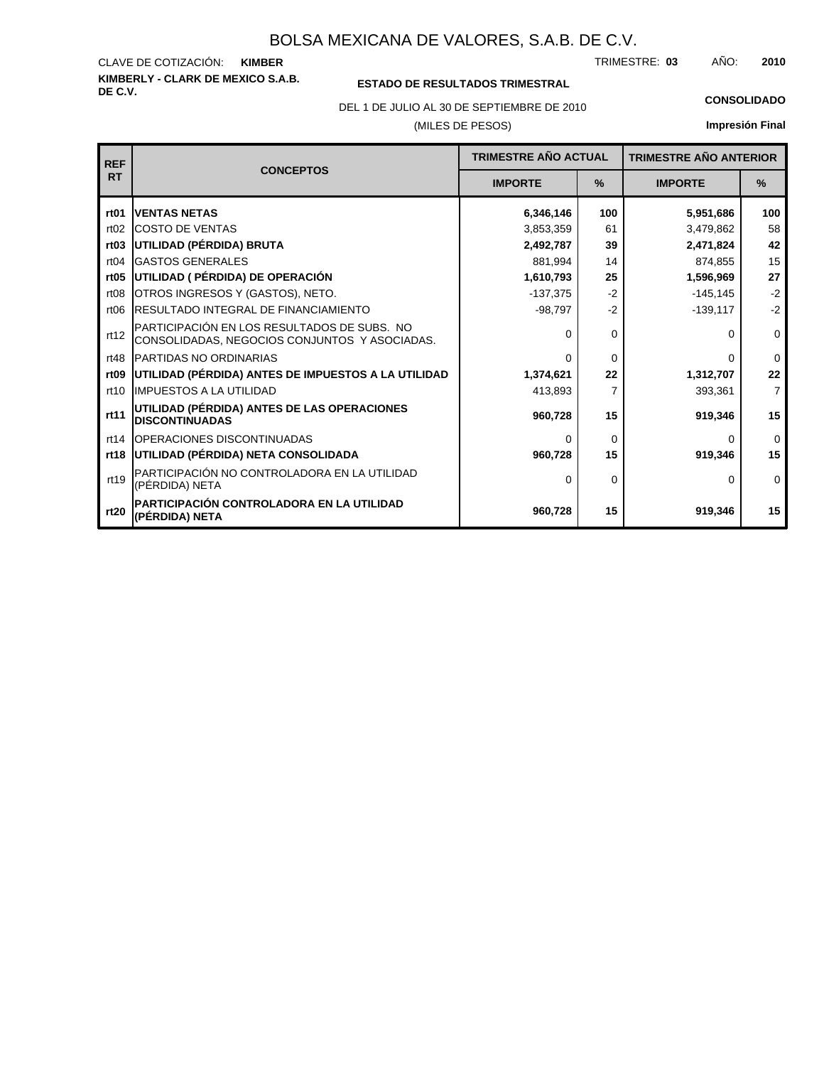**KIMBERLY - CLARK DE MEXICO S.A.B.** CLAVE DE COTIZACIÓN: TRIMESTRE: AÑO: **KIMBER 03 2010**

## **ESTADO DE RESULTADOS TRIMESTRAL**

DEL 1 DE JULIO AL 30 DE SEPTIEMBRE DE 2010 **CONSOLIDADO**

### (MILES DE PESOS)

| <b>REF</b>       |                                                                                              | <b>TRIMESTRE AÑO ACTUAL</b> |      | <b>TRIMESTRE AÑO ANTERIOR</b> |                |
|------------------|----------------------------------------------------------------------------------------------|-----------------------------|------|-------------------------------|----------------|
| <b>RT</b>        | <b>CONCEPTOS</b>                                                                             | <b>IMPORTE</b>              | $\%$ | <b>IMPORTE</b>                | $\frac{9}{6}$  |
| rt <sub>01</sub> | <b>IVENTAS NETAS</b>                                                                         | 6,346,146                   | 100  | 5,951,686                     | 100            |
| rt02             | <b>ICOSTO DE VENTAS</b>                                                                      | 3,853,359                   | 61   | 3,479,862                     | 58             |
| rt <sub>03</sub> | UTILIDAD (PÉRDIDA) BRUTA                                                                     | 2,492,787                   | 39   | 2,471,824                     | 42             |
| rt04             | <b>GASTOS GENERALES</b>                                                                      | 881,994                     | 14   | 874,855                       | 15             |
| rt05             | UTILIDAD ( PÉRDIDA) DE OPERACIÓN                                                             | 1,610,793                   | 25   | 1,596,969                     | 27             |
| rt <sub>08</sub> | OTROS INGRESOS Y (GASTOS), NETO.                                                             | $-137,375$                  | $-2$ | $-145, 145$                   | $-2$           |
| rt <sub>06</sub> | <b>IRESULTADO INTEGRAL DE FINANCIAMIENTO</b>                                                 | $-98,797$                   | $-2$ | $-139,117$                    | $-2$           |
| rt12             | PARTICIPACIÓN EN LOS RESULTADOS DE SUBS. NO<br>CONSOLIDADAS, NEGOCIOS CONJUNTOS Y ASOCIADAS. | $\Omega$                    | 0    | 0                             | $\mathbf 0$    |
| rt48             | <b>IPARTIDAS NO ORDINARIAS</b>                                                               | $\Omega$                    | 0    | 0                             | $\Omega$       |
| rt <sub>09</sub> | UTILIDAD (PÉRDIDA) ANTES DE IMPUESTOS A LA UTILIDAD                                          | 1,374,621                   | 22   | 1,312,707                     | 22             |
| rt10             | <b>IIMPUESTOS A LA UTILIDAD</b>                                                              | 413,893                     | 7    | 393,361                       | $\overline{7}$ |
| rt11             | <b>UTILIDAD (PÉRDIDA) ANTES DE LAS OPERACIONES</b><br><b>DISCONTINUADAS</b>                  | 960,728                     | 15   | 919,346                       | 15             |
| rt14             | <b>IOPERACIONES DISCONTINUADAS</b>                                                           | $\Omega$                    | 0    | 0                             | $\mathbf 0$    |
| rt18             | UTILIDAD (PÉRDIDA) NETA CONSOLIDADA                                                          | 960,728                     | 15   | 919,346                       | 15             |
| rt19             | PARTICIPACIÓN NO CONTROLADORA EN LA UTILIDAD<br>(PÉRDIDA) NETA                               | $\Omega$                    | 0    | $\Omega$                      | $\Omega$       |
| rt20             | PARTICIPACIÓN CONTROLADORA EN LA UTILIDAD<br>(PÉRDIDA) NETA                                  | 960,728                     | 15   | 919,346                       | 15             |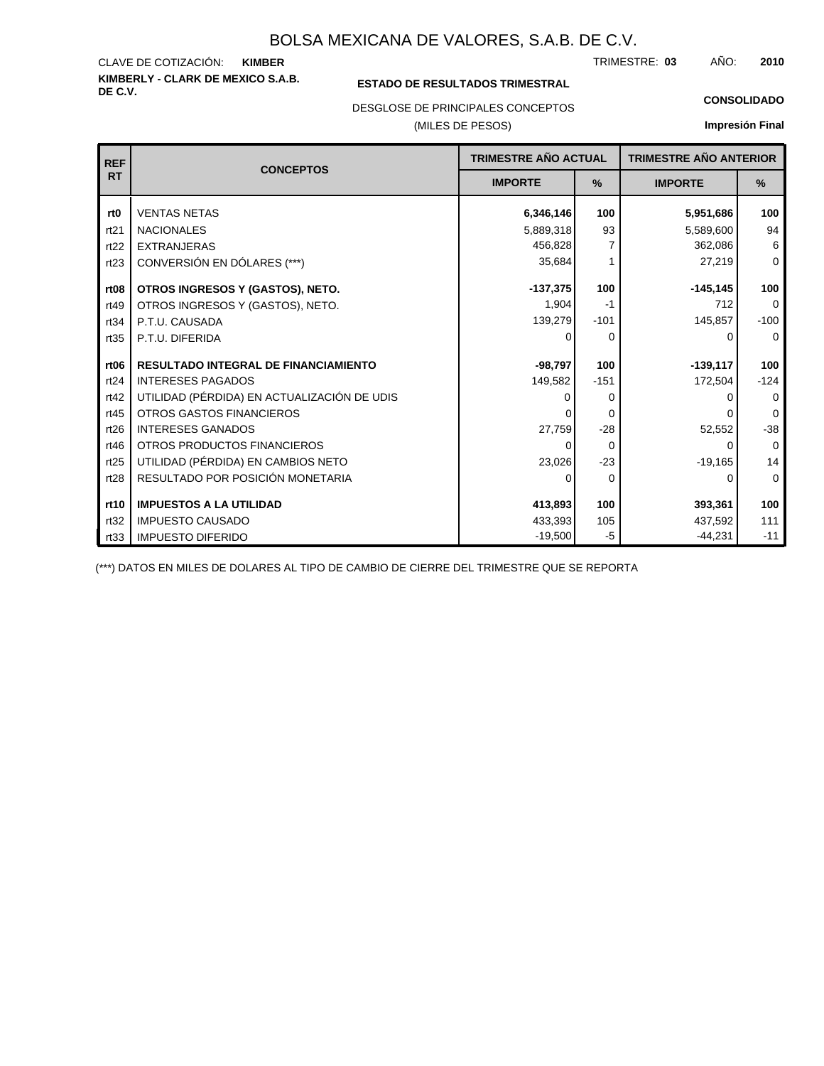#### **KIMBERLY - CLARK DE MEXICO S.A.B.** CLAVE DE COTIZACIÓN: TRIMESTRE: AÑO: **KIMBER 03 2010**

### **ESTADO DE RESULTADOS TRIMESTRAL**

DESGLOSE DE PRINCIPALES CONCEPTOS

### (MILES DE PESOS)

#### **CONSOLIDADO**

**Impresión Final**

| <b>REF</b>       |                                             | TRIMESTRE AÑO ACTUAL<br><b>IMPORTE</b><br>$\frac{9}{6}$ |          | <b>CONCEPTOS</b> |          | <b>TRIMESTRE AÑO ANTERIOR</b> |  |
|------------------|---------------------------------------------|---------------------------------------------------------|----------|------------------|----------|-------------------------------|--|
| <b>RT</b>        |                                             |                                                         |          | <b>IMPORTE</b>   | %        |                               |  |
| rt <sub>0</sub>  | <b>VENTAS NETAS</b>                         | 6,346,146                                               | 100      | 5,951,686        | 100      |                               |  |
| rt21             | <b>NACIONALES</b>                           | 5,889,318                                               | 93       | 5,589,600        | 94       |                               |  |
| rt22             | <b>EXTRANJERAS</b>                          | 456,828                                                 | 7        | 362,086          | 6        |                               |  |
| rt23             | CONVERSIÓN EN DÓLARES (***)                 | 35,684                                                  |          | 27,219           | $\Omega$ |                               |  |
| rt <sub>08</sub> | OTROS INGRESOS Y (GASTOS), NETO.            | $-137,375$                                              | 100      | $-145, 145$      | 100      |                               |  |
| rt49             | OTROS INGRESOS Y (GASTOS), NETO.            | 1,904                                                   | -1       | 712              | $\Omega$ |                               |  |
| rt34             | P.T.U. CAUSADA                              | 139,279                                                 | $-101$   | 145,857          | $-100$   |                               |  |
| rt35             | P.T.U. DIFERIDA                             | 0                                                       | 0        | ∩                | $\Omega$ |                               |  |
| rt <sub>06</sub> | <b>RESULTADO INTEGRAL DE FINANCIAMIENTO</b> | $-98,797$                                               | 100      |                  | 100      |                               |  |
|                  |                                             |                                                         |          | $-139,117$       |          |                               |  |
| rt24             | <b>INTERESES PAGADOS</b>                    | 149,582                                                 | $-151$   | 172,504          | $-124$   |                               |  |
| rt42             | UTILIDAD (PÉRDIDA) EN ACTUALIZACIÓN DE UDIS | O                                                       | 0        | O                | $\Omega$ |                               |  |
| rt45             | <b>OTROS GASTOS FINANCIEROS</b>             |                                                         | $\Omega$ |                  | $\Omega$ |                               |  |
| rt26             | <b>INTERESES GANADOS</b>                    | 27,759                                                  | $-28$    | 52,552           | $-38$    |                               |  |
| rt46             | OTROS PRODUCTOS FINANCIEROS                 | 0                                                       | $\Omega$ | $\Omega$         | $\Omega$ |                               |  |
| rt25             | UTILIDAD (PÉRDIDA) EN CAMBIOS NETO          | 23,026                                                  | $-23$    | $-19,165$        | 14       |                               |  |
| rt28             | RESULTADO POR POSICIÓN MONETARIA            | 0                                                       | $\Omega$ | 0                | $\Omega$ |                               |  |
| rt10             | <b>IMPUESTOS A LA UTILIDAD</b>              | 413,893                                                 | 100      | 393,361          | 100      |                               |  |
| rt32             | <b>IMPUESTO CAUSADO</b>                     | 433,393                                                 | 105      | 437,592          | 111      |                               |  |
| rt33             | <b>IMPUESTO DIFERIDO</b>                    | $-19,500$                                               | -5       | $-44,231$        | $-11$    |                               |  |

(\*\*\*) DATOS EN MILES DE DOLARES AL TIPO DE CAMBIO DE CIERRE DEL TRIMESTRE QUE SE REPORTA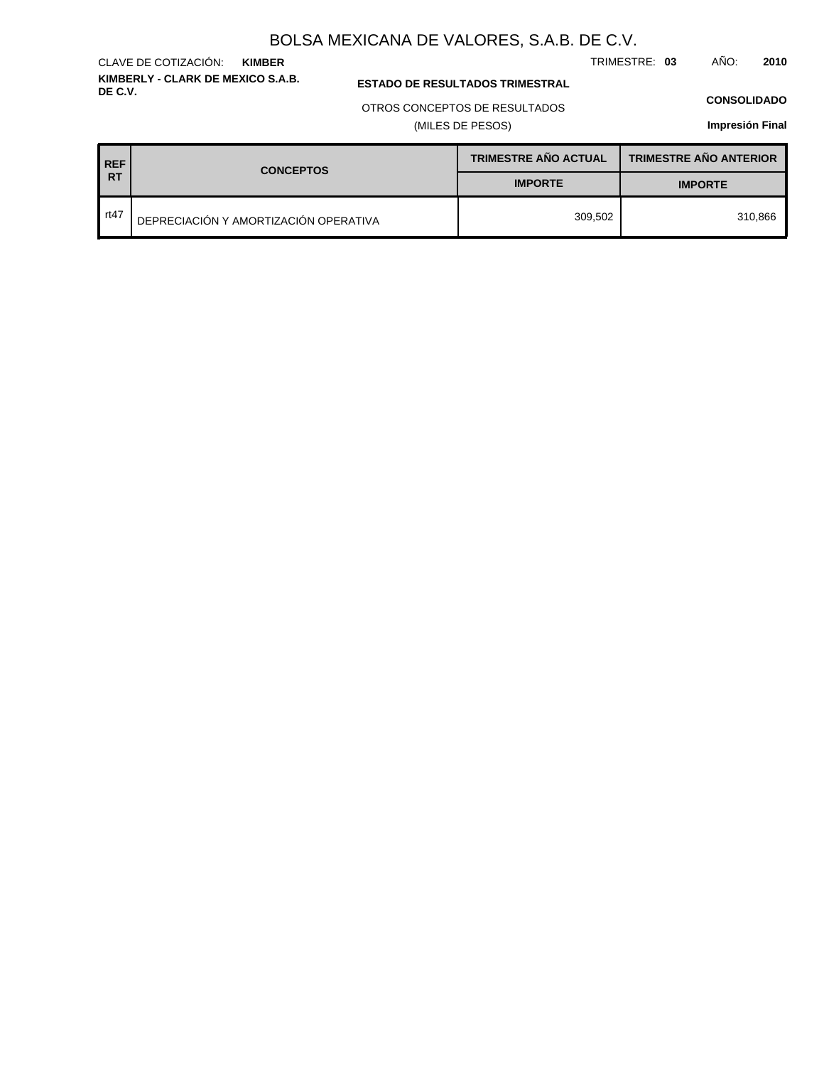TRIMESTRE: **03** AÑO: **2010**

### **ESTADO DE RESULTADOS TRIMESTRAL**

OTROS CONCEPTOS DE RESULTADOS

(MILES DE PESOS)

#### **CONSOLIDADO**

**Impresión Final**

| <b>REF</b> | <b>CONCEPTOS</b>                      | <b>TRIMESTRE AÑO ACTUAL</b> | <b>TRIMESTRE AÑO ANTERIOR</b> |
|------------|---------------------------------------|-----------------------------|-------------------------------|
| IRT        |                                       | <b>IMPORTE</b>              | <b>IMPORTE</b>                |
| rt47       | DEPRECIACIÓN Y AMORTIZACIÓN OPERATIVA | 309.502                     | 310.866                       |

# **KIMBER**

**KIMBERLY - CLARK DE MEXICO S.A.B.**

CLAVE DE COTIZACIÓN: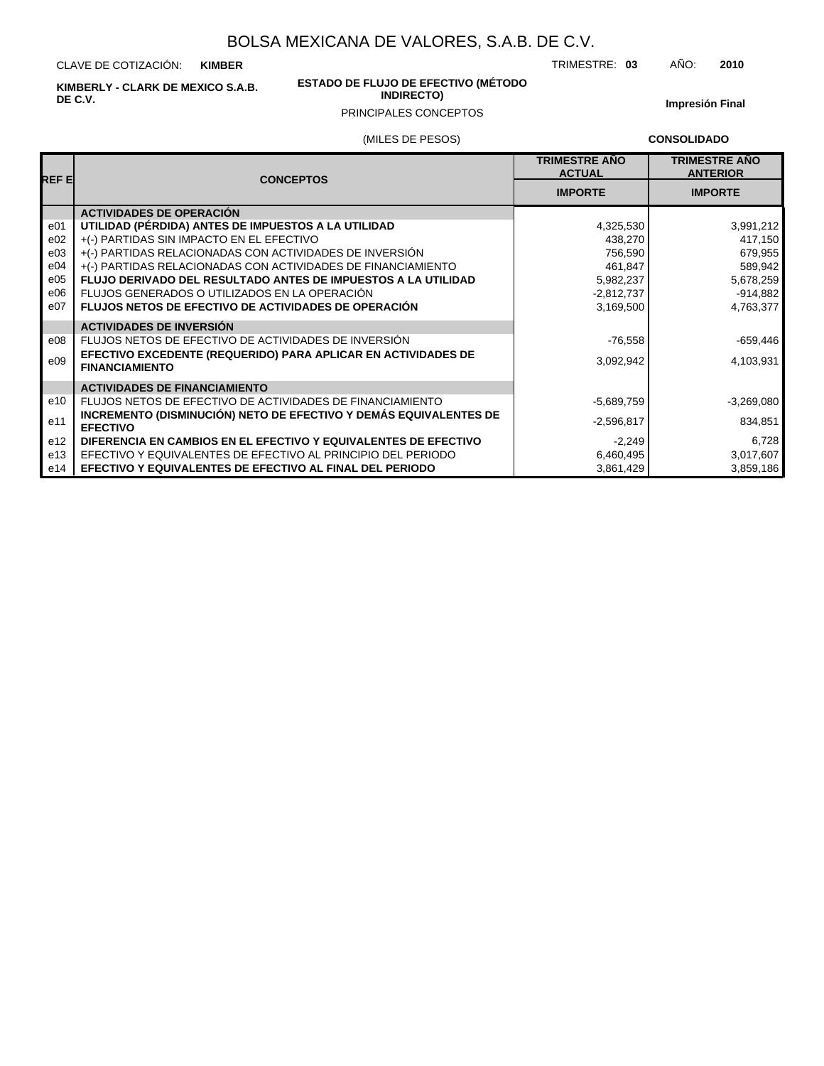CLAVE DE COTIZACIÓN: **KIMBER**

**KIMBERLY - CLARK DE MEXICO S.A.B. DE C.V.**

#### **ESTADO DE FLUJO DE EFECTIVO (MÉTODO INDIRECTO)**

**Impresión Final**

## PRINCIPALES CONCEPTOS

(MILES DE PESOS)

**CONSOLIDADO**

| REF EI          | <b>CONCEPTOS</b>                                                                       | <b>TRIMESTRE AÑO</b><br><b>ACTUAL</b> | <b>TRIMESTRE AÑO</b><br><b>ANTERIOR</b> |  |
|-----------------|----------------------------------------------------------------------------------------|---------------------------------------|-----------------------------------------|--|
|                 |                                                                                        | <b>IMPORTE</b>                        | <b>IMPORTE</b>                          |  |
|                 | <b>ACTIVIDADES DE OPERACIÓN</b>                                                        |                                       |                                         |  |
| e <sub>01</sub> | UTILIDAD (PÉRDIDA) ANTES DE IMPUESTOS A LA UTILIDAD                                    | 4,325,530                             | 3,991,212                               |  |
| e02             | +(-) PARTIDAS SIN IMPACTO EN EL EFECTIVO                                               | 438.270                               | 417,150                                 |  |
| e03             | +(-) PARTIDAS RELACIONADAS CON ACTIVIDADES DE INVERSIÓN                                | 756,590                               | 679,955                                 |  |
| e04             | +(-) PARTIDAS RELACIONADAS CON ACTIVIDADES DE FINANCIAMIENTO                           | 461.847                               | 589,942                                 |  |
| e05             | <b>FLUJO DERIVADO DEL RESULTADO ANTES DE IMPUESTOS A LA UTILIDAD</b>                   | 5,982,237                             | 5,678,259                               |  |
| e06             | FLUJOS GENERADOS O UTILIZADOS EN LA OPERACIÓN                                          | $-2,812,737$                          | $-914,882$                              |  |
| e07             | <b>FLUJOS NETOS DE EFECTIVO DE ACTIVIDADES DE OPERACIÓN</b>                            | 3,169,500                             | 4,763,377                               |  |
|                 | <b>ACTIVIDADES DE INVERSIÓN</b>                                                        |                                       |                                         |  |
| e08             | FLUJOS NETOS DE EFECTIVO DE ACTIVIDADES DE INVERSIÓN                                   | $-76,558$                             | $-659,446$                              |  |
| e09             | EFECTIVO EXCEDENTE (REQUERIDO) PARA APLICAR EN ACTIVIDADES DE<br><b>FINANCIAMIENTO</b> | 3,092,942                             | 4,103,931                               |  |
|                 | <b>ACTIVIDADES DE FINANCIAMIENTO</b>                                                   |                                       |                                         |  |
| e10             | FLUJOS NETOS DE EFECTIVO DE ACTIVIDADES DE FINANCIAMIENTO                              | -5,689,759                            | $-3,269,080$                            |  |
| e11             | INCREMENTO (DISMINUCIÓN) NETO DE EFECTIVO Y DEMÁS EQUIVALENTES DE<br><b>EFECTIVO</b>   | $-2,596,817$                          | 834,851                                 |  |
| e <sub>12</sub> | DIFERENCIA EN CAMBIOS EN EL EFECTIVO Y EQUIVALENTES DE EFECTIVO                        | $-2,249$                              | 6,728                                   |  |
| e13             | EFECTIVO Y EQUIVALENTES DE EFECTIVO AL PRINCIPIO DEL PERIODO                           | 6,460,495                             | 3,017,607                               |  |
| e14             | EFECTIVO Y EQUIVALENTES DE EFECTIVO AL FINAL DEL PERIODO                               | 3,861,429                             | 3,859,186                               |  |

TRIMESTRE: **03** AÑO: **2010**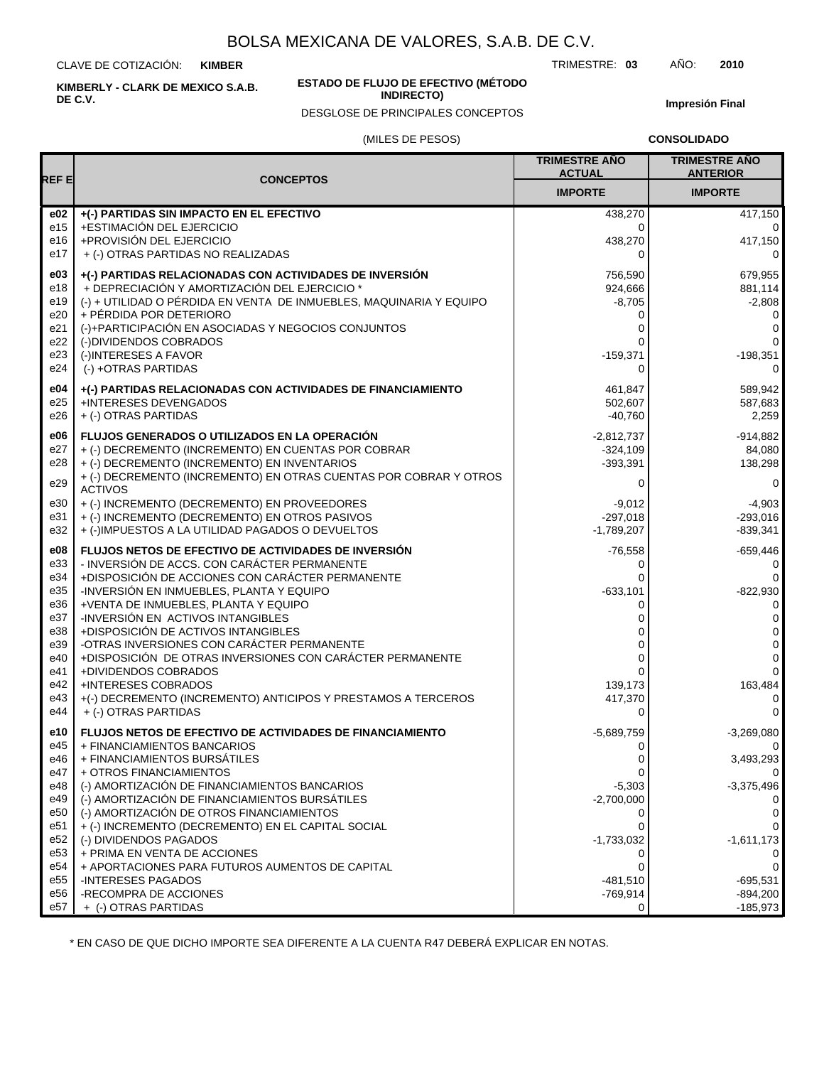CLAVE DE COTIZACIÓN: **KIMBER**

**KIMBERLY - CLARK DE MEXICO S.A.B. DE C.V.**

#### **ESTADO DE FLUJO DE EFECTIVO (MÉTODO INDIRECTO)**

DESGLOSE DE PRINCIPALES CONCEPTOS

TRIMESTRE: **03** AÑO: **2010**

**Impresión Final**

### (MILES DE PESOS)

**CONSOLIDADO**

| <b>REFE</b>     |                                                                                                 | <b>TRIMESTRE AÑO</b><br><b>ACTUAL</b> | <b>TRIMESTRE AÑO</b><br><b>ANTERIOR</b> |
|-----------------|-------------------------------------------------------------------------------------------------|---------------------------------------|-----------------------------------------|
|                 | <b>CONCEPTOS</b>                                                                                | <b>IMPORTE</b>                        | <b>IMPORTE</b>                          |
| e02             | +(-) PARTIDAS SIN IMPACTO EN EL EFECTIVO                                                        | 438,270                               | 417,150                                 |
| e15             | +ESTIMACIÓN DEL EJERCICIO                                                                       | 0                                     | 0                                       |
| e16             | +PROVISIÓN DEL EJERCICIO                                                                        | 438,270                               | 417,150                                 |
| e17             | + (-) OTRAS PARTIDAS NO REALIZADAS                                                              | 0                                     | 0                                       |
| e03             | +(-) PARTIDAS RELACIONADAS CON ACTIVIDADES DE INVERSIÓN                                         | 756,590                               | 679,955                                 |
| e18             | + DEPRECIACIÓN Y AMORTIZACIÓN DEL EJERCICIO *                                                   | 924,666                               | 881,114                                 |
| e19             | (-) + UTILIDAD O PÉRDIDA EN VENTA DE INMUEBLES, MAQUINARIA Y EQUIPO                             | $-8,705$                              | $-2,808$                                |
| e20             | + PÉRDIDA POR DETERIORO                                                                         | 0                                     | 0                                       |
| e21             | (-)+PARTICIPACIÓN EN ASOCIADAS Y NEGOCIOS CONJUNTOS                                             | 0                                     | 0                                       |
| e22             | (-)DIVIDENDOS COBRADOS                                                                          | 0                                     | 0                                       |
| e23             | (-)INTERESES A FAVOR                                                                            | $-159,371$                            | $-198,351$                              |
| e24             | (-) +OTRAS PARTIDAS                                                                             | 0                                     | 0                                       |
| e04             | +(-) PARTIDAS RELACIONADAS CON ACTIVIDADES DE FINANCIAMIENTO                                    | 461,847                               | 589,942                                 |
| e25             | +INTERESES DEVENGADOS                                                                           | 502,607                               | 587,683                                 |
| e26             | + (-) OTRAS PARTIDAS                                                                            | $-40.760$                             | 2,259                                   |
| e06             | <b>FLUJOS GENERADOS O UTILIZADOS EN LA OPERACIÓN</b>                                            | $-2,812,737$                          | $-914.882$                              |
| e27             | + (-) DECREMENTO (INCREMENTO) EN CUENTAS POR COBRAR                                             | $-324,109$                            | 84.080                                  |
| e28             | + (-) DECREMENTO (INCREMENTO) EN INVENTARIOS                                                    | $-393,391$                            | 138,298                                 |
| e29             | + (-) DECREMENTO (INCREMENTO) EN OTRAS CUENTAS POR COBRAR Y OTROS<br>ACTIVOS                    | 0                                     | 0                                       |
| e30             | + (-) INCREMENTO (DECREMENTO) EN PROVEEDORES                                                    | $-9,012$                              | $-4,903$                                |
| e31             | + (-) INCREMENTO (DECREMENTO) EN OTROS PASIVOS                                                  | $-297.018$                            | $-293,016$                              |
| e32             | + (-)IMPUESTOS A LA UTILIDAD PAGADOS O DEVUELTOS                                                | $-1.789.207$                          | $-839,341$                              |
| e08             | FLUJOS NETOS DE EFECTIVO DE ACTIVIDADES DE INVERSIÓN                                            | $-76,558$                             | $-659,446$                              |
| e33             | - INVERSIÓN DE ACCS. CON CARÁCTER PERMANENTE                                                    | 0                                     | 0                                       |
| e34             | +DISPOSICIÓN DE ACCIONES CON CARÁCTER PERMANENTE                                                | 0                                     | 0                                       |
| e35             | -INVERSIÓN EN INMUEBLES, PLANTA Y EQUIPO                                                        | $-633,101$                            | $-822,930$                              |
| e36             | +VENTA DE INMUEBLES, PLANTA Y EQUIPO                                                            | 0                                     | 0                                       |
| e37             | -INVERSIÓN EN ACTIVOS INTANGIBLES                                                               | 0                                     | 0                                       |
| e38             | +DISPOSICIÓN DE ACTIVOS INTANGIBLES                                                             | 0                                     | 0                                       |
| e39             | -OTRAS INVERSIONES CON CARÁCTER PERMANENTE                                                      | 0                                     | 0                                       |
| e40<br>e41      | +DISPOSICIÓN DE OTRAS INVERSIONES CON CARÁCTER PERMANENTE<br>+DIVIDENDOS COBRADOS               | 0<br>0                                | 0<br>$\mathbf 0$                        |
| e42             | <b>+INTERESES COBRADOS</b>                                                                      | 139,173                               | 163,484                                 |
| e43             | +(-) DECREMENTO (INCREMENTO) ANTICIPOS Y PRESTAMOS A TERCEROS                                   | 417,370                               | 0                                       |
| e44             | + (-) OTRAS PARTIDAS                                                                            | 0                                     | $\Omega$                                |
| e10             | <b>FLUJOS NETOS DE EFECTIVO DE ACTIVIDADES DE FINANCIAMIENTO</b>                                | $-5,689,759$                          | $-3,269,080$                            |
| e45             | + FINANCIAMIENTOS BANCARIOS                                                                     | 0                                     | 0                                       |
| e46             | + FINANCIAMIENTOS BURSÁTILES                                                                    | O                                     | 3,493,293                               |
| e47             | + OTROS FINANCIAMIENTOS                                                                         | 0                                     | 0                                       |
| e48<br>e49      | (-) AMORTIZACIÓN DE FINANCIAMIENTOS BANCARIOS<br>(-) AMORTIZACIÓN DE FINANCIAMIENTOS BURSÁTILES | $-5,303$<br>$-2,700,000$              | $-3,375,496$                            |
| e50             | (-) AMORTIZACIÓN DE OTROS FINANCIAMIENTOS                                                       | 0                                     | $\Omega$<br>0                           |
| e51             | + (-) INCREMENTO (DECREMENTO) EN EL CAPITAL SOCIAL                                              |                                       | 0                                       |
| e <sub>52</sub> | (-) DIVIDENDOS PAGADOS                                                                          | $-1,733,032$                          | $-1,611,173$                            |
| e53             | + PRIMA EN VENTA DE ACCIONES                                                                    | 0                                     | 0                                       |
| e54             | + APORTACIONES PARA FUTUROS AUMENTOS DE CAPITAL                                                 | 0                                     | 0                                       |
| e <sub>55</sub> | <b>INTERESES PAGADOS</b>                                                                        | $-481,510$                            | $-695,531$                              |
| e56             | -RECOMPRA DE ACCIONES                                                                           | $-769,914$                            | $-894,200$                              |
| e57             | + (-) OTRAS PARTIDAS                                                                            | 0                                     | $-185,973$                              |

\* EN CASO DE QUE DICHO IMPORTE SEA DIFERENTE A LA CUENTA R47 DEBERÁ EXPLICAR EN NOTAS.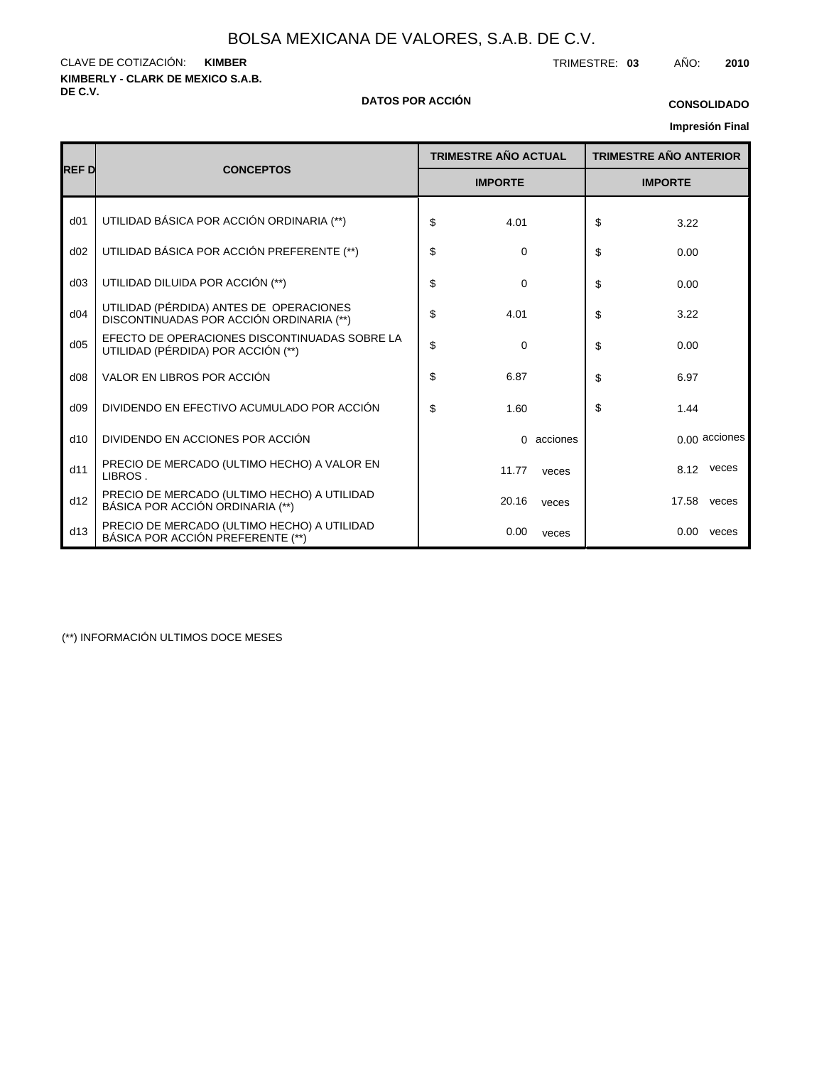**KIMBERLY - CLARK DE MEXICO S.A.B.** CLAVE DE COTIZACIÓN: TRIMESTRE: **03** AÑO: **2010 KIMBER**

#### **DE C.V. DATOS POR ACCIÓN**

# **CONSOLIDADO**

## **Impresión Final**

|                 |                                                                                     | <b>TRIMESTRE AÑO ACTUAL</b> |          | <b>TRIMESTRE AÑO ANTERIOR</b> |       |                 |
|-----------------|-------------------------------------------------------------------------------------|-----------------------------|----------|-------------------------------|-------|-----------------|
| <b>REFD</b>     | <b>CONCEPTOS</b>                                                                    | <b>IMPORTE</b>              |          | <b>IMPORTE</b>                |       |                 |
| d <sub>01</sub> | UTILIDAD BÁSICA POR ACCIÓN ORDINARIA (**)                                           | \$<br>4.01                  |          | \$                            | 3.22  |                 |
| d02             | UTILIDAD BÁSICA POR ACCIÓN PREFERENTE (**)                                          | \$<br>0                     |          | \$                            | 0.00  |                 |
| d03             | UTILIDAD DILUIDA POR ACCIÓN (**)                                                    | \$<br>$\Omega$              |          | \$                            | 0.00  |                 |
| d04             | UTILIDAD (PÉRDIDA) ANTES DE OPERACIONES<br>DISCONTINUADAS POR ACCIÓN ORDINARIA (**) | \$<br>4.01                  |          | \$                            | 3.22  |                 |
| d05             | EFECTO DE OPERACIONES DISCONTINUADAS SOBRE LA<br>UTILIDAD (PÉRDIDA) POR ACCIÓN (**) | \$<br>$\Omega$              |          | \$                            | 0.00  |                 |
| d08             | VALOR EN LIBROS POR ACCIÓN                                                          | \$<br>6.87                  |          | \$                            | 6.97  |                 |
| d09             | DIVIDENDO EN EFECTIVO ACUMULADO POR ACCIÓN                                          | \$<br>1.60                  |          | \$                            | 1.44  |                 |
| d10             | DIVIDENDO EN ACCIONES POR ACCIÓN                                                    | $\Omega$                    | acciones |                               |       | $0.00$ acciones |
| d11             | PRECIO DE MERCADO (ULTIMO HECHO) A VALOR EN<br>LIBROS.                              | 11.77                       | veces    |                               | 8.12  | veces           |
| d12             | PRECIO DE MERCADO (ULTIMO HECHO) A UTILIDAD<br>BÁSICA POR ACCIÓN ORDINARIA (**)     | 20.16                       | veces    |                               | 17.58 | veces           |
| d13             | PRECIO DE MERCADO (ULTIMO HECHO) A UTILIDAD<br>BÁSICA POR ACCIÓN PREFERENTE (**)    | 0.00                        | veces    |                               | 0.00  | veces           |

(\*\*) INFORMACIÓN ULTIMOS DOCE MESES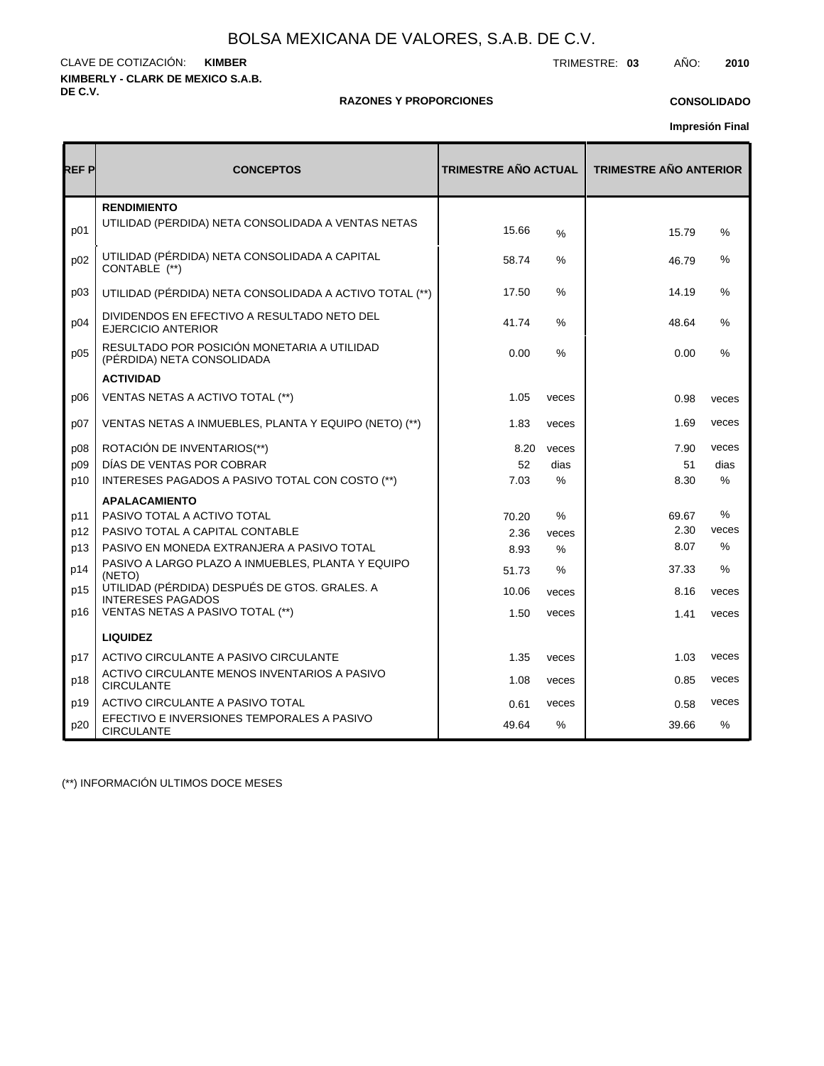**KIMBERLY - CLARK DE MEXICO S.A.B. DE C.V.** CLAVE DE COTIZACIÓN: TRIMESTRE: **03** AÑO: **2010 KIMBER**

#### **RAZONES Y PROPORCIONES**

## **CONSOLIDADO**

**Impresión Final**

| REF P | <b>CONCEPTOS</b>                                                          | <b>TRIMESTRE AÑO ACTUAL</b> |               | <b>TRIMESTRE AÑO ANTERIOR</b> |               |  |  |
|-------|---------------------------------------------------------------------------|-----------------------------|---------------|-------------------------------|---------------|--|--|
| p01   | <b>RENDIMIENTO</b><br>UTILIDAD (PERDIDA) NETA CONSOLIDADA A VENTAS NETAS  | 15.66                       | $\frac{0}{0}$ | 15.79                         | %             |  |  |
| p02   | UTILIDAD (PÉRDIDA) NETA CONSOLIDADA A CAPITAL<br>CONTABLE (**)            | 58.74                       | ℅             | 46.79                         | %             |  |  |
| p03   | UTILIDAD (PÉRDIDA) NETA CONSOLIDADA A ACTIVO TOTAL (**)                   | 17.50                       | $\%$          | 14.19                         | %             |  |  |
| p04   | DIVIDENDOS EN EFECTIVO A RESULTADO NETO DEL<br><b>EJERCICIO ANTERIOR</b>  | 41.74                       | %             | 48.64                         | %             |  |  |
| p05   | RESULTADO POR POSICIÓN MONETARIA A UTILIDAD<br>(PÉRDIDA) NETA CONSOLIDADA | 0.00                        | $\%$          | 0.00                          | %             |  |  |
|       | <b>ACTIVIDAD</b>                                                          |                             |               |                               |               |  |  |
| D06   | VENTAS NETAS A ACTIVO TOTAL (**)                                          | 1.05                        | veces         | 0.98                          | veces         |  |  |
| p07   | VENTAS NETAS A INMUEBLES, PLANTA Y EQUIPO (NETO) (**)                     | 1.83                        | veces         | 1.69                          | veces         |  |  |
| p08   | ROTACIÓN DE INVENTARIOS(**)                                               | 8.20                        | veces         | 7.90                          | veces         |  |  |
| p09   | DÍAS DE VENTAS POR COBRAR                                                 | 52                          | dias          | 51                            | dias          |  |  |
| p10   | INTERESES PAGADOS A PASIVO TOTAL CON COSTO (**)                           | 7.03                        | $\%$          | 8.30                          | $\%$          |  |  |
|       | <b>APALACAMIENTO</b>                                                      |                             |               |                               |               |  |  |
| p11   | PASIVO TOTAL A ACTIVO TOTAL                                               | 70.20                       | %             | 69.67                         | %             |  |  |
| p12   | PASIVO TOTAL A CAPITAL CONTABLE                                           | 2.36                        | veces         | 2.30                          | veces         |  |  |
| p13   | PASIVO EN MONEDA EXTRANJERA A PASIVO TOTAL                                | 8.93                        | $\%$          | 8.07                          | $\frac{0}{0}$ |  |  |
| p14   | PASIVO A LARGO PLAZO A INMUEBLES, PLANTA Y EQUIPO<br>(NETO)               | 51.73                       | %             | 37.33                         | %             |  |  |
| p15   | UTILIDAD (PÉRDIDA) DESPUÉS DE GTOS. GRALES. A<br><b>INTERESES PAGADOS</b> | 10.06                       | veces         | 8.16                          | veces         |  |  |
| p16   | VENTAS NETAS A PASIVO TOTAL (**)                                          | 1.50                        | veces         | 1.41                          | veces         |  |  |
|       | <b>LIQUIDEZ</b>                                                           |                             |               |                               |               |  |  |
| p17   | ACTIVO CIRCULANTE A PASIVO CIRCULANTE                                     | 1.35                        | veces         | 1.03                          | veces         |  |  |
| p18   | ACTIVO CIRCULANTE MENOS INVENTARIOS A PASIVO<br><b>CIRCULANTE</b>         | 1.08                        | veces         | 0.85                          | veces         |  |  |
| p19   | ACTIVO CIRCULANTE A PASIVO TOTAL                                          | 0.61                        | veces         | 0.58                          | veces         |  |  |
| p20   | EFECTIVO E INVERSIONES TEMPORALES A PASIVO<br><b>CIRCULANTE</b>           | 49.64                       | $\%$          | 39.66                         | $\%$          |  |  |

(\*\*) INFORMACIÓN ULTIMOS DOCE MESES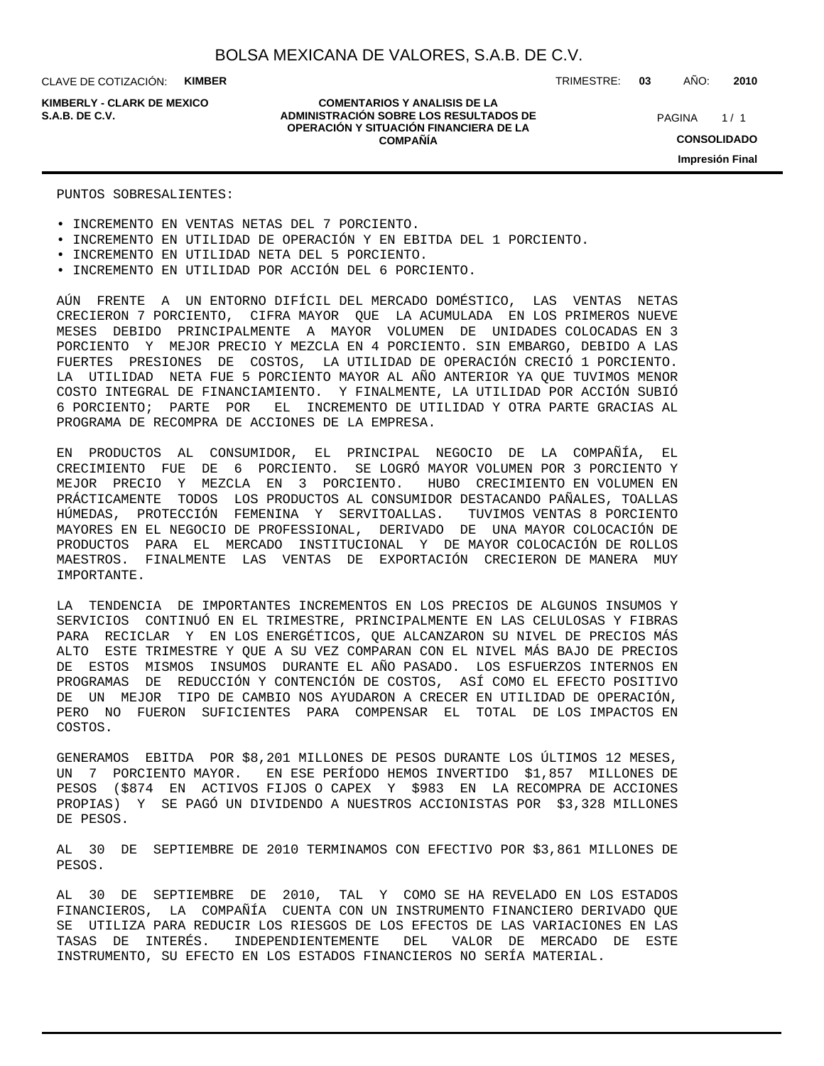CLAVE DE COTIZACIÓN: **KIMBER**

**KIMBERLY - CLARK DE MEXICO**

#### **COMENTARIOS Y ANALISIS DE LA ADMINISTRACIÓN SOBRE LOS RESULTADOS DE S.A.B. DE C.V.** PAGINA / 1 **OPERACIÓN Y SITUACIÓN FINANCIERA DE LA COMPAÑÍA**

TRIMESTRE: **03** AÑO: **2010**

 $1/1$ **CONSOLIDADO Impresión Final**

#### PUNTOS SOBRESALIENTES:

- INCREMENTO EN VENTAS NETAS DEL 7 PORCIENTO.
- INCREMENTO EN UTILIDAD DE OPERACIÓN Y EN EBITDA DEL 1 PORCIENTO.
- INCREMENTO EN UTILIDAD NETA DEL 5 PORCIENTO.
- INCREMENTO EN UTILIDAD POR ACCIÓN DEL 6 PORCIENTO.

AÚN FRENTE A UN ENTORNO DIFÍCIL DEL MERCADO DOMÉSTICO, LAS VENTAS NETAS CRECIERON 7 PORCIENTO, CIFRA MAYOR QUE LA ACUMULADA EN LOS PRIMEROS NUEVE MESES DEBIDO PRINCIPALMENTE A MAYOR VOLUMEN DE UNIDADES COLOCADAS EN 3 PORCIENTO Y MEJOR PRECIO Y MEZCLA EN 4 PORCIENTO. SIN EMBARGO, DEBIDO A LAS FUERTES PRESIONES DE COSTOS, LA UTILIDAD DE OPERACIÓN CRECIÓ 1 PORCIENTO. LA UTILIDAD NETA FUE 5 PORCIENTO MAYOR AL AÑO ANTERIOR YA QUE TUVIMOS MENOR COSTO INTEGRAL DE FINANCIAMIENTO. Y FINALMENTE, LA UTILIDAD POR ACCIÓN SUBIÓ 6 PORCIENTO; PARTE POR EL INCREMENTO DE UTILIDAD Y OTRA PARTE GRACIAS AL PROGRAMA DE RECOMPRA DE ACCIONES DE LA EMPRESA.

EN PRODUCTOS AL CONSUMIDOR, EL PRINCIPAL NEGOCIO DE LA COMPAÑÍA, EL CRECIMIENTO FUE DE 6 PORCIENTO. SE LOGRÓ MAYOR VOLUMEN POR 3 PORCIENTO Y MEJOR PRECIO Y MEZCLA EN 3 PORCIENTO. HUBO CRECIMIENTO EN VOLUMEN EN PRÁCTICAMENTE TODOS LOS PRODUCTOS AL CONSUMIDOR DESTACANDO PAÑALES, TOALLAS HÚMEDAS, PROTECCIÓN FEMENINA Y SERVITOALLAS. TUVIMOS VENTAS 8 PORCIENTO MAYORES EN EL NEGOCIO DE PROFESSIONAL, DERIVADO DE UNA MAYOR COLOCACIÓN DE PRODUCTOS PARA EL MERCADO INSTITUCIONAL Y DE MAYOR COLOCACIÓN DE ROLLOS MAESTROS. FINALMENTE LAS VENTAS DE EXPORTACIÓN CRECIERON DE MANERA MUY IMPORTANTE.

LA TENDENCIA DE IMPORTANTES INCREMENTOS EN LOS PRECIOS DE ALGUNOS INSUMOS Y SERVICIOS CONTINUÓ EN EL TRIMESTRE, PRINCIPALMENTE EN LAS CELULOSAS Y FIBRAS PARA RECICLAR Y EN LOS ENERGÉTICOS, QUE ALCANZARON SU NIVEL DE PRECIOS MÁS ALTO ESTE TRIMESTRE Y QUE A SU VEZ COMPARAN CON EL NIVEL MÁS BAJO DE PRECIOS DE ESTOS MISMOS INSUMOS DURANTE EL AÑO PASADO. LOS ESFUERZOS INTERNOS EN PROGRAMAS DE REDUCCIÓN Y CONTENCIÓN DE COSTOS, ASÍ COMO EL EFECTO POSITIVO DE UN MEJOR TIPO DE CAMBIO NOS AYUDARON A CRECER EN UTILIDAD DE OPERACIÓN, PERO NO FUERON SUFICIENTES PARA COMPENSAR EL TOTAL DE LOS IMPACTOS EN COSTOS.

GENERAMOS EBITDA POR \$8,201 MILLONES DE PESOS DURANTE LOS ÚLTIMOS 12 MESES, UN 7 PORCIENTO MAYOR. EN ESE PERÍODO HEMOS INVERTIDO \$1,857 MILLONES DE PESOS (\$874 EN ACTIVOS FIJOS O CAPEX Y \$983 EN LA RECOMPRA DE ACCIONES PROPIAS) Y SE PAGÓ UN DIVIDENDO A NUESTROS ACCIONISTAS POR \$3,328 MILLONES DE PESOS.

AL 30 DE SEPTIEMBRE DE 2010 TERMINAMOS CON EFECTIVO POR \$3,861 MILLONES DE PESOS.

AL 30 DE SEPTIEMBRE DE 2010, TAL Y COMO SE HA REVELADO EN LOS ESTADOS FINANCIEROS, LA COMPAÑÍA CUENTA CON UN INSTRUMENTO FINANCIERO DERIVADO QUE SE UTILIZA PARA REDUCIR LOS RIESGOS DE LOS EFECTOS DE LAS VARIACIONES EN LAS TASAS DE INTERÉS. INDEPENDIENTEMENTE DEL VALOR DE MERCADO DE ESTE INSTRUMENTO, SU EFECTO EN LOS ESTADOS FINANCIEROS NO SERÍA MATERIAL.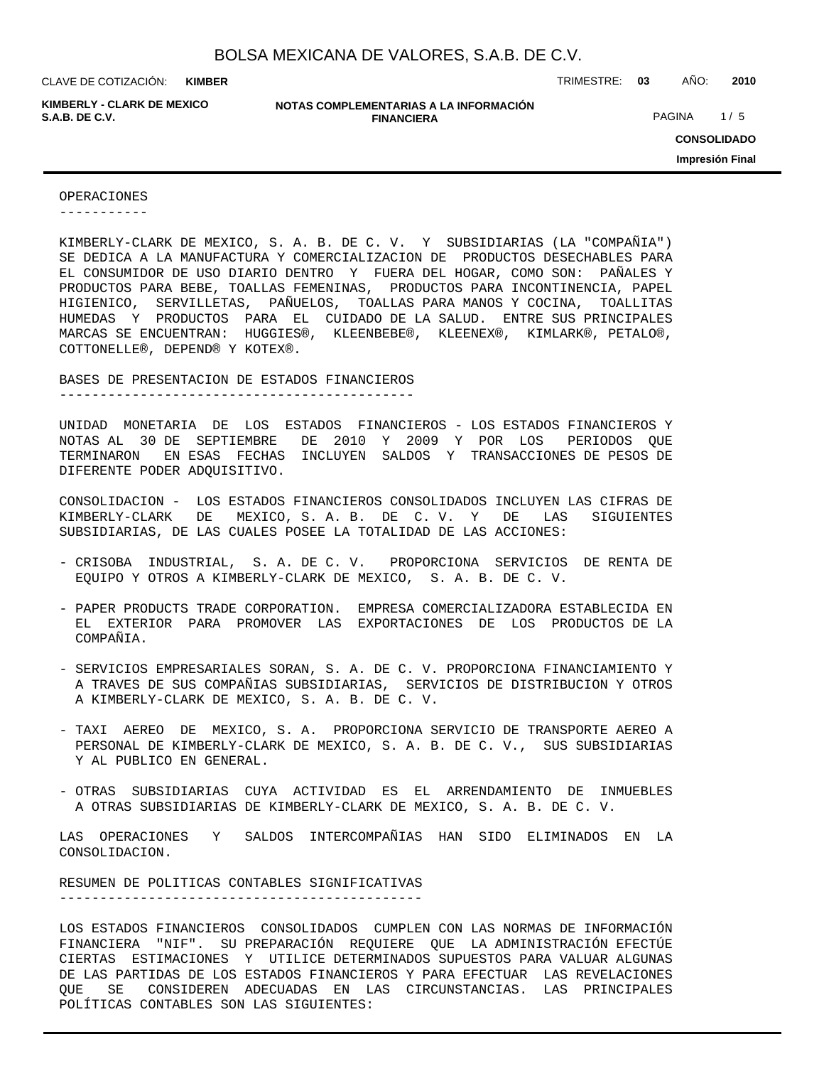**KIMBER**

**KIMBERLY - CLARK DE MEXICO**

**NOTAS COMPLEMENTARIAS A LA INFORMACIÓN FINANCIERA S.A.B. DE C.V.** PAGINA 1/5

CLAVE DE COTIZACIÓN: TRIMESTRE: **03** AÑO: **2010**

**CONSOLIDADO Impresión Final**

#### OPERACIONES

-----------

KIMBERLY-CLARK DE MEXICO, S. A. B. DE C. V. Y SUBSIDIARIAS (LA "COMPAÑIA") SE DEDICA A LA MANUFACTURA Y COMERCIALIZACION DE PRODUCTOS DESECHABLES PARA EL CONSUMIDOR DE USO DIARIO DENTRO Y FUERA DEL HOGAR, COMO SON: PAÑALES Y PRODUCTOS PARA BEBE, TOALLAS FEMENINAS, PRODUCTOS PARA INCONTINENCIA, PAPEL HIGIENICO, SERVILLETAS, PAÑUELOS, TOALLAS PARA MANOS Y COCINA, TOALLITAS HUMEDAS Y PRODUCTOS PARA EL CUIDADO DE LA SALUD. ENTRE SUS PRINCIPALES MARCAS SE ENCUENTRAN: HUGGIES®, KLEENBEBE®, KLEENEX®, KIMLARK®, PETALO®, COTTONELLE®, DEPEND® Y KOTEX®.

BASES DE PRESENTACION DE ESTADOS FINANCIEROS

--------------------------------------------

UNIDAD MONETARIA DE LOS ESTADOS FINANCIEROS - LOS ESTADOS FINANCIEROS Y NOTAS AL 30 DE SEPTIEMBRE DE 2010 Y 2009 Y POR LOS PERIODOS QUE TERMINARON EN ESAS FECHAS INCLUYEN SALDOS Y TRANSACCIONES DE PESOS DE DIFERENTE PODER ADQUISITIVO.

CONSOLIDACION - LOS ESTADOS FINANCIEROS CONSOLIDADOS INCLUYEN LAS CIFRAS DE KIMBERLY-CLARK DE MEXICO, S. A. B. DE C. V. Y DE LAS SIGUIENTES SUBSIDIARIAS, DE LAS CUALES POSEE LA TOTALIDAD DE LAS ACCIONES:

- CRISOBA INDUSTRIAL, S. A. DE C. V. PROPORCIONA SERVICIOS DE RENTA DE EQUIPO Y OTROS A KIMBERLY-CLARK DE MEXICO, S. A. B. DE C. V.
- PAPER PRODUCTS TRADE CORPORATION. EMPRESA COMERCIALIZADORA ESTABLECIDA EN EL EXTERIOR PARA PROMOVER LAS EXPORTACIONES DE LOS PRODUCTOS DE LA COMPAÑIA.
- SERVICIOS EMPRESARIALES SORAN, S. A. DE C. V. PROPORCIONA FINANCIAMIENTO Y A TRAVES DE SUS COMPAÑIAS SUBSIDIARIAS, SERVICIOS DE DISTRIBUCION Y OTROS A KIMBERLY-CLARK DE MEXICO, S. A. B. DE C. V.
- TAXI AEREO DE MEXICO, S. A. PROPORCIONA SERVICIO DE TRANSPORTE AEREO A PERSONAL DE KIMBERLY-CLARK DE MEXICO, S. A. B. DE C. V., SUS SUBSIDIARIAS Y AL PUBLICO EN GENERAL.
- OTRAS SUBSIDIARIAS CUYA ACTIVIDAD ES EL ARRENDAMIENTO DE INMUEBLES A OTRAS SUBSIDIARIAS DE KIMBERLY-CLARK DE MEXICO, S. A. B. DE C. V.

LAS OPERACIONES Y SALDOS INTERCOMPAÑIAS HAN SIDO ELIMINADOS EN LA CONSOLIDACION.

RESUMEN DE POLITICAS CONTABLES SIGNIFICATIVAS ---------------------------------------------

LOS ESTADOS FINANCIEROS CONSOLIDADOS CUMPLEN CON LAS NORMAS DE INFORMACIÓN FINANCIERA "NIF". SU PREPARACIÓN REQUIERE QUE LA ADMINISTRACIÓN EFECTÚE CIERTAS ESTIMACIONES Y UTILICE DETERMINADOS SUPUESTOS PARA VALUAR ALGUNAS DE LAS PARTIDAS DE LOS ESTADOS FINANCIEROS Y PARA EFECTUAR LAS REVELACIONES QUE SE CONSIDEREN ADECUADAS EN LAS CIRCUNSTANCIAS. LAS PRINCIPALES POLÍTICAS CONTABLES SON LAS SIGUIENTES: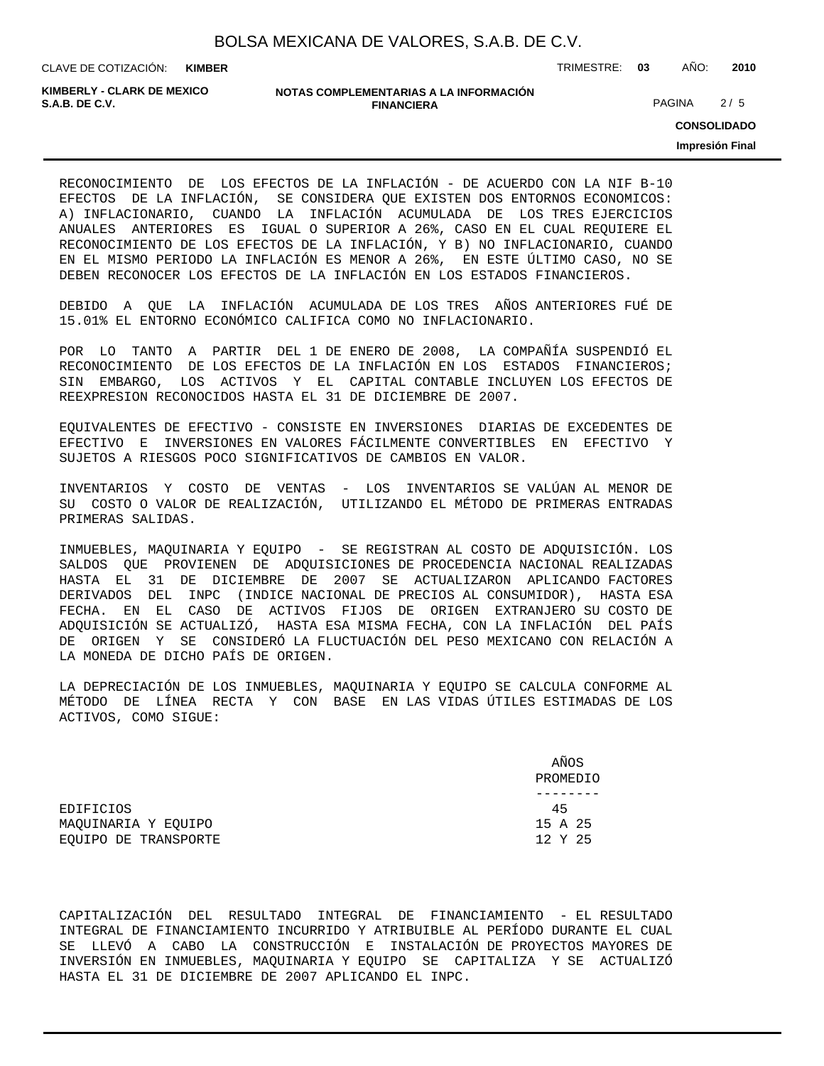**KIMBER**

CLAVE DE COTIZACIÓN: TRIMESTRE: **03** AÑO: **2010**

**KIMBERLY - CLARK DE MEXICO**

#### **NOTAS COMPLEMENTARIAS A LA INFORMACIÓN FINANCIERA S.A.B. DE C.V.** PAGINA 2 / 5

**CONSOLIDADO**

**Impresión Final**

RECONOCIMIENTO DE LOS EFECTOS DE LA INFLACIÓN - DE ACUERDO CON LA NIF B-10 EFECTOS DE LA INFLACIÓN, SE CONSIDERA QUE EXISTEN DOS ENTORNOS ECONOMICOS: A) INFLACIONARIO, CUANDO LA INFLACIÓN ACUMULADA DE LOS TRES EJERCICIOS ANUALES ANTERIORES ES IGUAL O SUPERIOR A 26%, CASO EN EL CUAL REQUIERE EL RECONOCIMIENTO DE LOS EFECTOS DE LA INFLACIÓN, Y B) NO INFLACIONARIO, CUANDO EN EL MISMO PERIODO LA INFLACIÓN ES MENOR A 26%, EN ESTE ÚLTIMO CASO, NO SE DEBEN RECONOCER LOS EFECTOS DE LA INFLACIÓN EN LOS ESTADOS FINANCIEROS.

DEBIDO A QUE LA INFLACIÓN ACUMULADA DE LOS TRES AÑOS ANTERIORES FUÉ DE 15.01% EL ENTORNO ECONÓMICO CALIFICA COMO NO INFLACIONARIO.

POR LO TANTO A PARTIR DEL 1 DE ENERO DE 2008, LA COMPAÑÍA SUSPENDIÓ EL RECONOCIMIENTO DE LOS EFECTOS DE LA INFLACIÓN EN LOS ESTADOS FINANCIEROS; SIN EMBARGO, LOS ACTIVOS Y EL CAPITAL CONTABLE INCLUYEN LOS EFECTOS DE REEXPRESION RECONOCIDOS HASTA EL 31 DE DICIEMBRE DE 2007.

EQUIVALENTES DE EFECTIVO - CONSISTE EN INVERSIONES DIARIAS DE EXCEDENTES DE EFECTIVO E INVERSIONES EN VALORES FÁCILMENTE CONVERTIBLES EN EFECTIVO Y SUJETOS A RIESGOS POCO SIGNIFICATIVOS DE CAMBIOS EN VALOR.

INVENTARIOS Y COSTO DE VENTAS - LOS INVENTARIOS SE VALÚAN AL MENOR DE SU COSTO O VALOR DE REALIZACIÓN, UTILIZANDO EL MÉTODO DE PRIMERAS ENTRADAS PRIMERAS SALIDAS.

INMUEBLES, MAQUINARIA Y EQUIPO - SE REGISTRAN AL COSTO DE ADQUISICIÓN. LOS SALDOS QUE PROVIENEN DE ADQUISICIONES DE PROCEDENCIA NACIONAL REALIZADAS HASTA EL 31 DE DICIEMBRE DE 2007 SE ACTUALIZARON APLICANDO FACTORES DERIVADOS DEL INPC (INDICE NACIONAL DE PRECIOS AL CONSUMIDOR), HASTA ESA FECHA. EN EL CASO DE ACTIVOS FIJOS DE ORIGEN EXTRANJERO SU COSTO DE ADQUISICIÓN SE ACTUALIZÓ, HASTA ESA MISMA FECHA, CON LA INFLACIÓN DEL PAÍS DE ORIGEN Y SE CONSIDERÓ LA FLUCTUACIÓN DEL PESO MEXICANO CON RELACIÓN A LA MONEDA DE DICHO PAÍS DE ORIGEN.

LA DEPRECIACIÓN DE LOS INMUEBLES, MAQUINARIA Y EQUIPO SE CALCULA CONFORME AL MÉTODO DE LÍNEA RECTA Y CON BASE EN LAS VIDAS ÚTILES ESTIMADAS DE LOS ACTIVOS, COMO SIGUE:

|                      | AÑOS<br>PROMEDIO |
|----------------------|------------------|
|                      |                  |
| EDIFICIOS            | 45               |
| MAOUINARIA Y EOUIPO  | 15 A 25          |
| EOUIPO DE TRANSPORTE | 12 Y 25          |

CAPITALIZACIÓN DEL RESULTADO INTEGRAL DE FINANCIAMIENTO - EL RESULTADO INTEGRAL DE FINANCIAMIENTO INCURRIDO Y ATRIBUIBLE AL PERÍODO DURANTE EL CUAL SE LLEVÓ A CABO LA CONSTRUCCIÓN E INSTALACIÓN DE PROYECTOS MAYORES DE INVERSIÓN EN INMUEBLES, MAQUINARIA Y EQUIPO SE CAPITALIZA Y SE ACTUALIZÓ HASTA EL 31 DE DICIEMBRE DE 2007 APLICANDO EL INPC.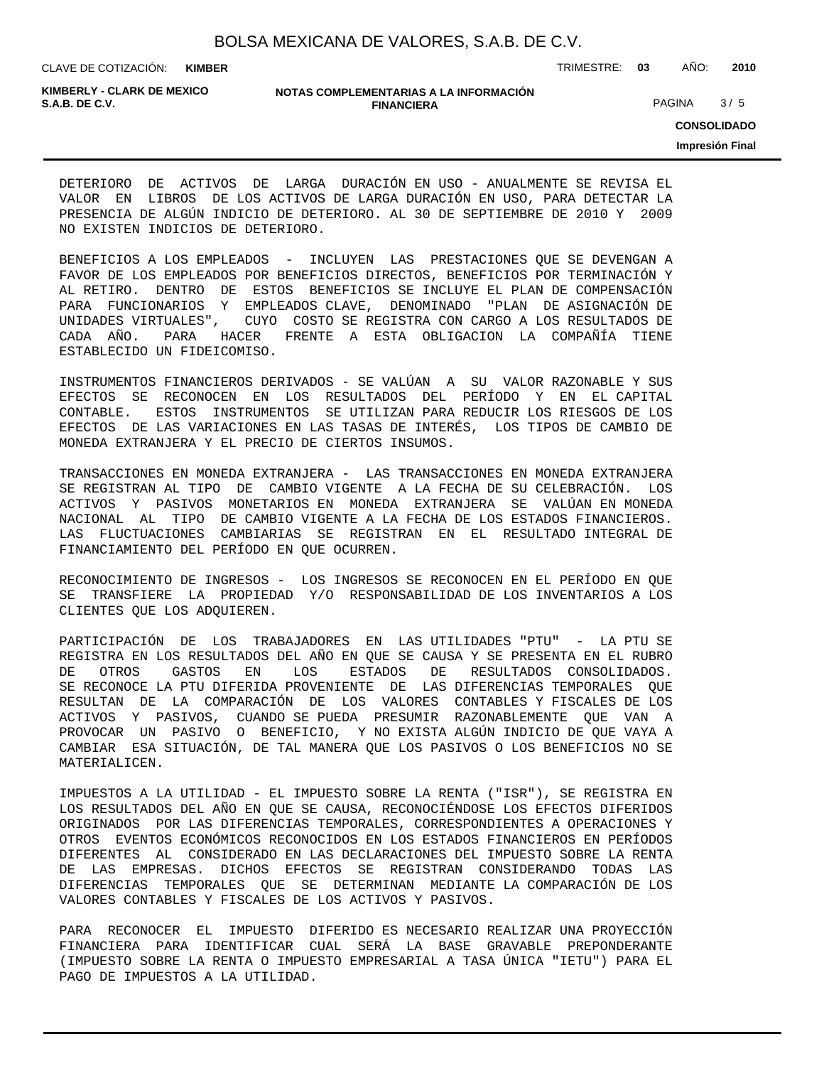CLAVE DE COTIZACIÓN: TRIMESTRE: **03** AÑO: **2010 KIMBER**

**KIMBERLY - CLARK DE MEXICO**

#### **NOTAS COMPLEMENTARIAS A LA INFORMACIÓN FINANCIERA S.A.B. DE C.V.** PAGINA 3 / 5

**CONSOLIDADO**

**Impresión Final**

DETERIORO DE ACTIVOS DE LARGA DURACIÓN EN USO - ANUALMENTE SE REVISA EL VALOR EN LIBROS DE LOS ACTIVOS DE LARGA DURACIÓN EN USO, PARA DETECTAR LA PRESENCIA DE ALGÚN INDICIO DE DETERIORO. AL 30 DE SEPTIEMBRE DE 2010 Y 2009 NO EXISTEN INDICIOS DE DETERIORO.

BENEFICIOS A LOS EMPLEADOS - INCLUYEN LAS PRESTACIONES QUE SE DEVENGAN A FAVOR DE LOS EMPLEADOS POR BENEFICIOS DIRECTOS, BENEFICIOS POR TERMINACIÓN Y AL RETIRO. DENTRO DE ESTOS BENEFICIOS SE INCLUYE EL PLAN DE COMPENSACIÓN PARA FUNCIONARIOS Y EMPLEADOS CLAVE, DENOMINADO "PLAN DE ASIGNACIÓN DE UNIDADES VIRTUALES", CUYO COSTO SE REGISTRA CON CARGO A LOS RESULTADOS DE CADA AÑO. PARA HACER FRENTE A ESTA OBLIGACION LA COMPAÑÍA TIENE ESTABLECIDO UN FIDEICOMISO.

INSTRUMENTOS FINANCIEROS DERIVADOS - SE VALÚAN A SU VALOR RAZONABLE Y SUS EFECTOS SE RECONOCEN EN LOS RESULTADOS DEL PERÍODO Y EN EL CAPITAL CONTABLE. ESTOS INSTRUMENTOS SE UTILIZAN PARA REDUCIR LOS RIESGOS DE LOS EFECTOS DE LAS VARIACIONES EN LAS TASAS DE INTERÉS, LOS TIPOS DE CAMBIO DE MONEDA EXTRANJERA Y EL PRECIO DE CIERTOS INSUMOS.

TRANSACCIONES EN MONEDA EXTRANJERA - LAS TRANSACCIONES EN MONEDA EXTRANJERA SE REGISTRAN AL TIPO DE CAMBIO VIGENTE A LA FECHA DE SU CELEBRACIÓN. LOS ACTIVOS Y PASIVOS MONETARIOS EN MONEDA EXTRANJERA SE VALÚAN EN MONEDA NACIONAL AL TIPO DE CAMBIO VIGENTE A LA FECHA DE LOS ESTADOS FINANCIEROS. LAS FLUCTUACIONES CAMBIARIAS SE REGISTRAN EN EL RESULTADO INTEGRAL DE FINANCIAMIENTO DEL PERÍODO EN QUE OCURREN.

RECONOCIMIENTO DE INGRESOS - LOS INGRESOS SE RECONOCEN EN EL PERÍODO EN QUE SE TRANSFIERE LA PROPIEDAD Y/O RESPONSABILIDAD DE LOS INVENTARIOS A LOS CLIENTES QUE LOS ADQUIEREN.

PARTICIPACIÓN DE LOS TRABAJADORES EN LAS UTILIDADES "PTU" - LA PTU SE REGISTRA EN LOS RESULTADOS DEL AÑO EN QUE SE CAUSA Y SE PRESENTA EN EL RUBRO DE OTROS GASTOS EN LOS ESTADOS DE RESULTADOS CONSOLIDADOS. SE RECONOCE LA PTU DIFERIDA PROVENIENTE DE LAS DIFERENCIAS TEMPORALES QUE RESULTAN DE LA COMPARACIÓN DE LOS VALORES CONTABLES Y FISCALES DE LOS ACTIVOS Y PASIVOS, CUANDO SE PUEDA PRESUMIR RAZONABLEMENTE QUE VAN A PROVOCAR UN PASIVO O BENEFICIO, Y NO EXISTA ALGÚN INDICIO DE QUE VAYA A CAMBIAR ESA SITUACIÓN, DE TAL MANERA QUE LOS PASIVOS O LOS BENEFICIOS NO SE MATERIALICEN.

IMPUESTOS A LA UTILIDAD - EL IMPUESTO SOBRE LA RENTA ("ISR"), SE REGISTRA EN LOS RESULTADOS DEL AÑO EN QUE SE CAUSA, RECONOCIÉNDOSE LOS EFECTOS DIFERIDOS ORIGINADOS POR LAS DIFERENCIAS TEMPORALES, CORRESPONDIENTES A OPERACIONES Y OTROS EVENTOS ECONÓMICOS RECONOCIDOS EN LOS ESTADOS FINANCIEROS EN PERÍODOS DIFERENTES AL CONSIDERADO EN LAS DECLARACIONES DEL IMPUESTO SOBRE LA RENTA DE LAS EMPRESAS. DICHOS EFECTOS SE REGISTRAN CONSIDERANDO TODAS LAS DIFERENCIAS TEMPORALES QUE SE DETERMINAN MEDIANTE LA COMPARACIÓN DE LOS VALORES CONTABLES Y FISCALES DE LOS ACTIVOS Y PASIVOS.

PARA RECONOCER EL IMPUESTO DIFERIDO ES NECESARIO REALIZAR UNA PROYECCIÓN FINANCIERA PARA IDENTIFICAR CUAL SERÁ LA BASE GRAVABLE PREPONDERANTE (IMPUESTO SOBRE LA RENTA O IMPUESTO EMPRESARIAL A TASA ÚNICA "IETU") PARA EL PAGO DE IMPUESTOS A LA UTILIDAD.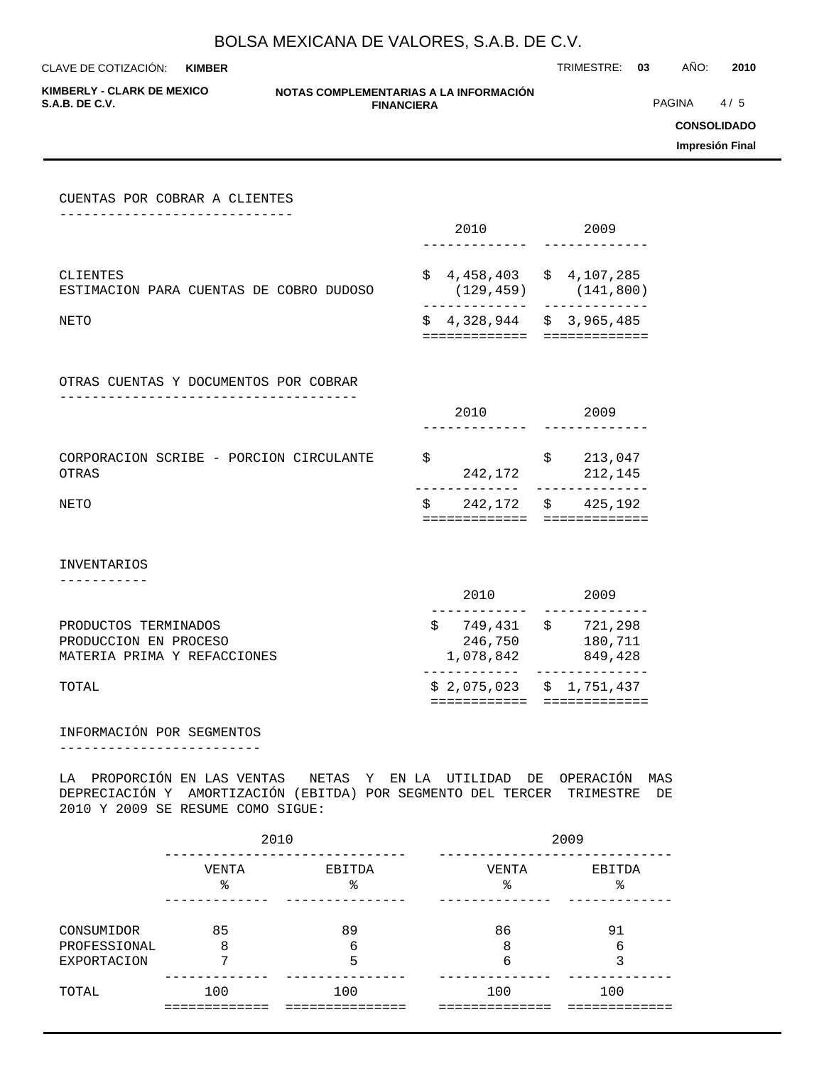**KIMBER**

CLAVE DE COTIZACIÓN: TRIMESTRE: **03** AÑO: **2010**

**KIMBERLY - CLARK DE MEXICO**

#### **NOTAS COMPLEMENTARIAS A LA INFORMACIÓN FINANCIERA S.A.B. DE C.V.** PAGINA 4 / 5

**CONSOLIDADO**

**Impresión Final**

| CUENTAS POR COBRAR A CLIENTES<br>_________________                           |                                                                                                                |                                                                          |
|------------------------------------------------------------------------------|----------------------------------------------------------------------------------------------------------------|--------------------------------------------------------------------------|
|                                                                              | 2010                                                                                                           | 2009                                                                     |
| CLIENTES<br>ESTIMACION PARA CUENTAS DE COBRO DUDOSO                          | _____________                                                                                                  | $$4,458,403 \t $4,107,285$<br>$(129, 459)$ $(141, 800)$<br>------------- |
| NETO                                                                         |                                                                                                                | $$4,328,944 \t $3,965,485$<br>============= =============                |
| OTRAS CUENTAS Y DOCUMENTOS POR COBRAR<br>__________________________          |                                                                                                                |                                                                          |
|                                                                              |                                                                                                                | 2010 2009                                                                |
| CORPORACION SCRIBE - PORCION CIRCULANTE<br>OTRAS                             | $\begin{array}{ccccc}\n\updownarrow & & & \updownarrow & & \ & & 242,172 & & & 212,145\n\end{array}$<br>$   -$ |                                                                          |
| NETO                                                                         | =============                                                                                                  | $\frac{1}{2}$ 242,172 $\frac{1}{2}$ 425,192<br>$=$ = = = = = = = = =     |
| <b>INVENTARIOS</b>                                                           |                                                                                                                |                                                                          |
|                                                                              |                                                                                                                | 2010 2009<br>---------                                                   |
| PRODUCTOS TERMINADOS<br>PRODUCCION EN PROCESO<br>MATERIA PRIMA Y REFACCIONES | $-1$                                                                                                           | $$749,431$ $$721,298$<br>246,750 180,711<br>$1,078,842$ 849,428          |
| TOTAL                                                                        |                                                                                                                | $$2,075,023$ $$1,751,437$<br>===========================                 |
|                                                                              |                                                                                                                |                                                                          |

## INFORMACIÓN POR SEGMENTOS

-------------------------

LA PROPORCIÓN EN LAS VENTAS NETAS Y EN LA UTILIDAD DE OPERACIÓN MAS DEPRECIACIÓN Y AMORTIZACIÓN (EBITDA) POR SEGMENTO DEL TERCER TRIMESTRE DE 2010 Y 2009 SE RESUME COMO SIGUE:

|                            | 2010        |              | 2009        |             |  |  |  |
|----------------------------|-------------|--------------|-------------|-------------|--|--|--|
|                            | VENTA<br>နွ | EBITDA<br>ిన | VENTA<br>ిన | EBITDA<br>ి |  |  |  |
| CONSUMIDOR<br>PROFESSIONAL | 85<br>8     | 89<br>6      | 86<br>8     | 91<br>6     |  |  |  |
| <b>EXPORTACION</b>         | 7           | 5            | 6           | 3           |  |  |  |
| TOTAL                      | 100         | 100          | 100         | 100         |  |  |  |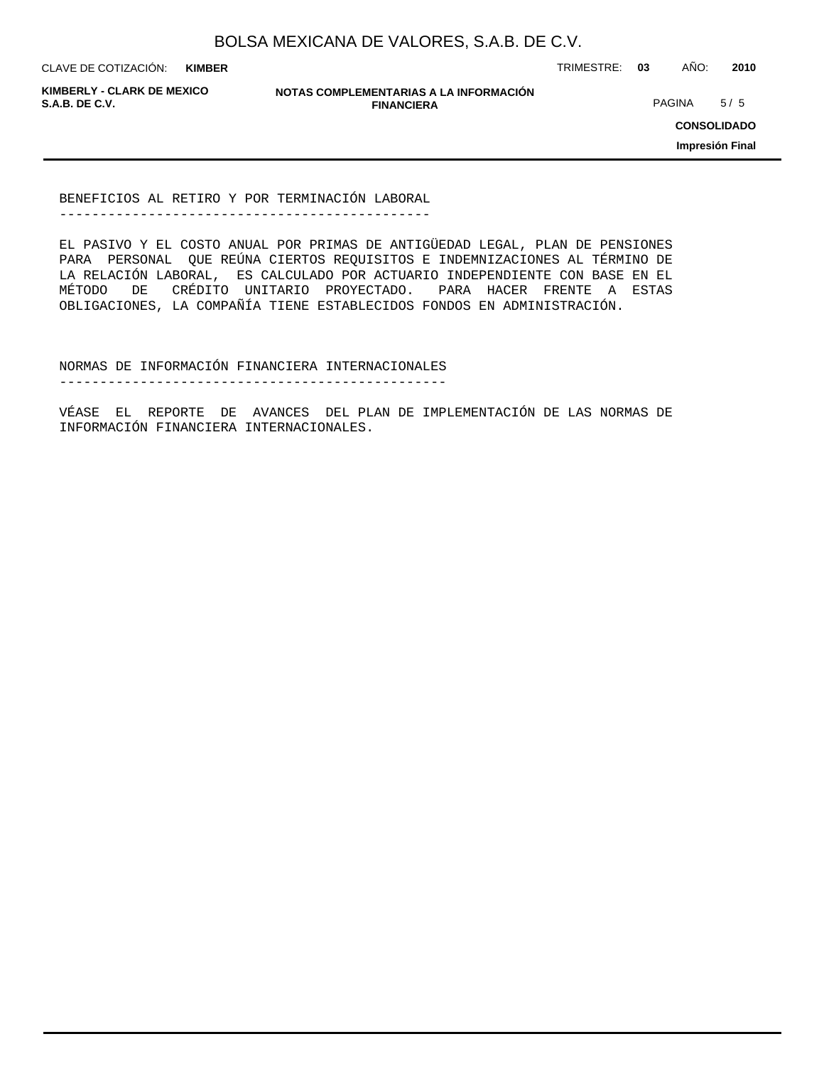**KIMBER**

CLAVE DE COTIZACIÓN: TRIMESTRE: **03** AÑO: **2010**

**KIMBERLY - CLARK DE MEXICO**

**NOTAS COMPLEMENTARIAS A LA INFORMACIÓN FINANCIERA S.A.B. DE C.V.** PAGINA 5 / 5

**CONSOLIDADO**

**Impresión Final**

BENEFICIOS AL RETIRO Y POR TERMINACIÓN LABORAL ----------------------------------------------

EL PASIVO Y EL COSTO ANUAL POR PRIMAS DE ANTIGÜEDAD LEGAL, PLAN DE PENSIONES PARA PERSONAL QUE REÚNA CIERTOS REQUISITOS E INDEMNIZACIONES AL TÉRMINO DE LA RELACIÓN LABORAL, ES CALCULADO POR ACTUARIO INDEPENDIENTE CON BASE EN EL MÉTODO DE CRÉDITO UNITARIO PROYECTADO. PARA HACER FRENTE A ESTAS OBLIGACIONES, LA COMPAÑÍA TIENE ESTABLECIDOS FONDOS EN ADMINISTRACIÓN.

NORMAS DE INFORMACIÓN FINANCIERA INTERNACIONALES

------------------------------------------------

VÉASE EL REPORTE DE AVANCES DEL PLAN DE IMPLEMENTACIÓN DE LAS NORMAS DE INFORMACIÓN FINANCIERA INTERNACIONALES.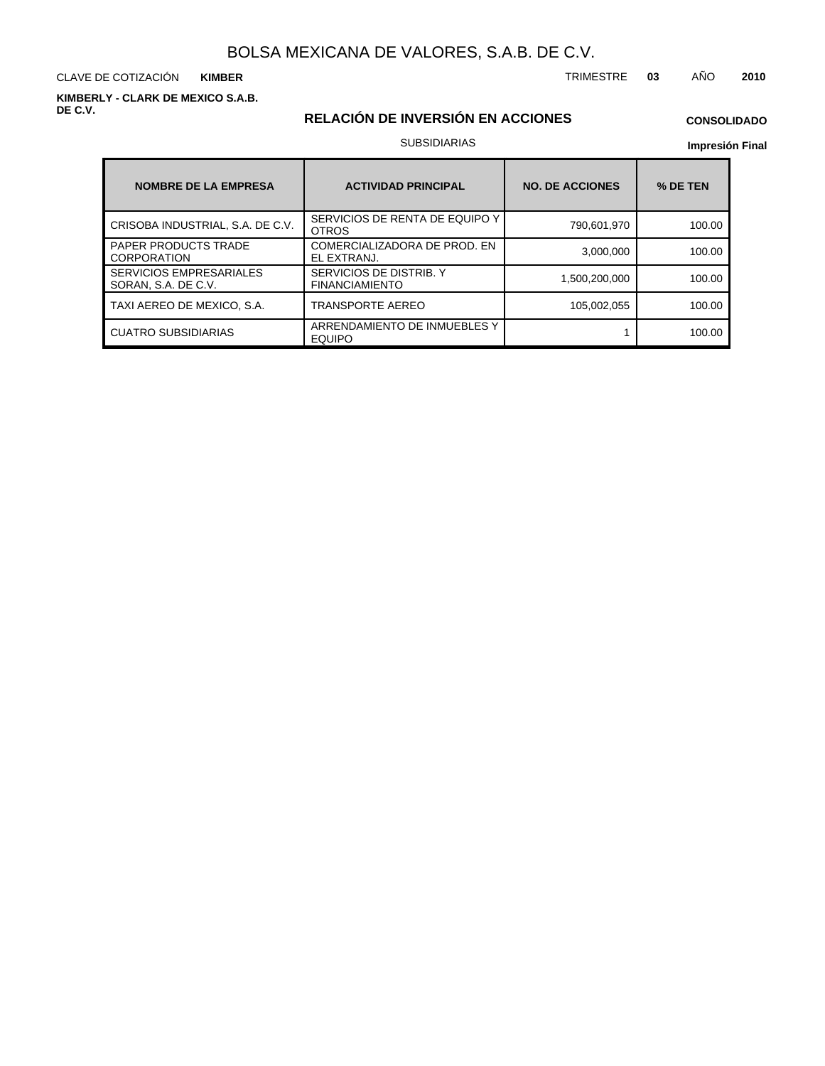CLAVE DE COTIZACIÓN TRIMESTRE **03** AÑO **2010 KIMBER**

**KIMBERLY - CLARK DE MEXICO S.A.B. DE C.V.**

## **RELACIÓN DE INVERSIÓN EN ACCIONES**

## **CONSOLIDADO**

#### SUBSIDIARIAS

| <b>NOMBRE DE LA EMPRESA</b>                           | <b>ACTIVIDAD PRINCIPAL</b>                       | <b>NO. DE ACCIONES</b> | % DE TEN |
|-------------------------------------------------------|--------------------------------------------------|------------------------|----------|
| CRISOBA INDUSTRIAL, S.A. DE C.V.                      | SERVICIOS DE RENTA DE EQUIPO Y<br><b>OTROS</b>   | 790,601,970            | 100.00   |
| <b>PAPER PRODUCTS TRADE</b><br><b>CORPORATION</b>     | COMERCIALIZADORA DE PROD. EN<br>EL EXTRANJ.      | 3,000,000              | 100.00   |
| <b>SERVICIOS EMPRESARIALES</b><br>SORAN, S.A. DE C.V. | SERVICIOS DE DISTRIB. Y<br><b>FINANCIAMIENTO</b> | 1,500,200,000          | 100.00   |
| TAXI AEREO DE MEXICO, S.A.                            | TRANSPORTE AEREO                                 | 105,002,055            | 100.00   |
| <b>CUATRO SUBSIDIARIAS</b>                            | ARRENDAMIENTO DE INMUEBLES Y<br><b>EQUIPO</b>    |                        | 100.00   |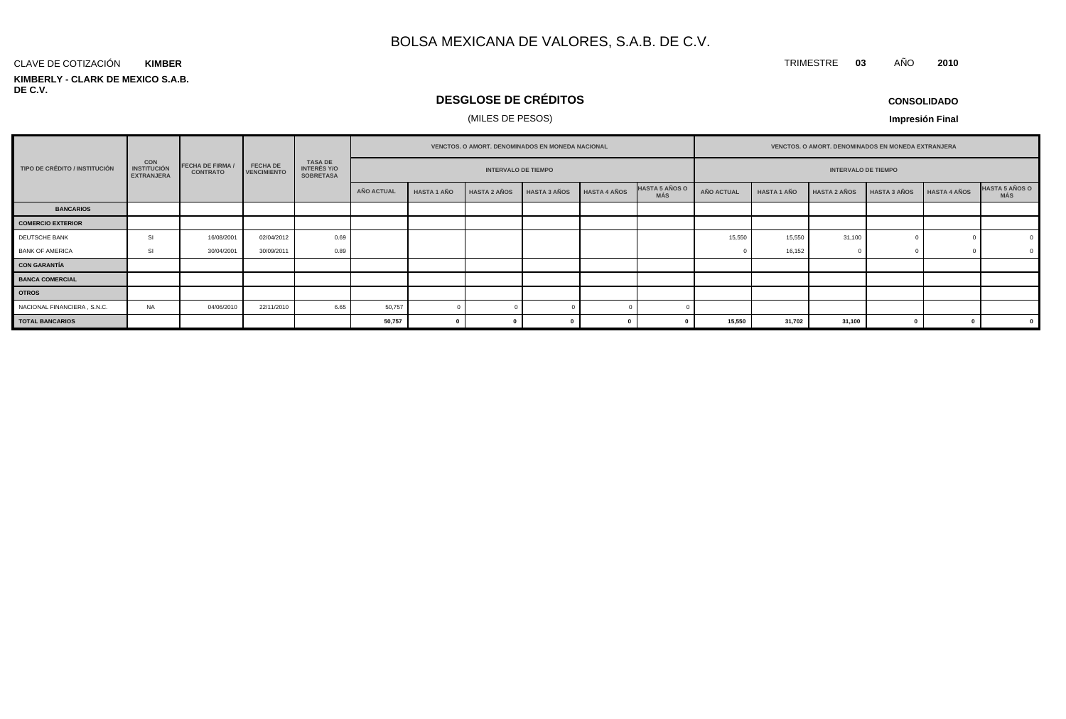#### **KIMBERLY - CLARK DE MEXICO S.A.B. DE C.V.** CLAVE DE COTIZACIÓN **KIMBER**

## **DESGLOSE DE CRÉDITOS**

## (MILES DE PESOS)

**CONSOLIDADO**

TRIMESTRE **03** AÑO **2010**

|                               | <b>CON</b><br><b>INSTITUCIÓN</b><br><b>EXTRANJERA</b> |                                            |                                       | <b>TASA DE</b><br><b>INTERÉS Y/O</b><br><b>SOBRETASA</b> | <b>VENCTOS, O AMORT, DENOMINADOS EN MONEDA NACIONAL</b> |                    |                     |                     |                     | VENCTOS. O AMORT. DENOMINADOS EN MONEDA EXTRANJERA |            |                    |                     |                     |                     |                               |
|-------------------------------|-------------------------------------------------------|--------------------------------------------|---------------------------------------|----------------------------------------------------------|---------------------------------------------------------|--------------------|---------------------|---------------------|---------------------|----------------------------------------------------|------------|--------------------|---------------------|---------------------|---------------------|-------------------------------|
| TIPO DE CRÉDITO / INSTITUCIÓN |                                                       | <b>FECHA DE FIRMA /</b><br><b>CONTRATO</b> | <b>FECHA DE</b><br><b>VENCIMIENTO</b> |                                                          | <b>INTERVALO DE TIEMPO</b>                              |                    |                     |                     |                     | <b>INTERVALO DE TIEMPO</b>                         |            |                    |                     |                     |                     |                               |
|                               |                                                       |                                            |                                       |                                                          | AÑO ACTUAL                                              | <b>HASTA 1 AÑO</b> | <b>HASTA 2 AÑOS</b> | <b>HASTA 3 AÑOS</b> | <b>HASTA 4 AÑOS</b> | <b>HASTA 5 AÑOS O</b><br><b>MÁS</b>                | AÑO ACTUAL | <b>HASTA 1 AÑO</b> | <b>HASTA 2 AÑOS</b> | <b>HASTA 3 AÑOS</b> | <b>HASTA 4 AÑOS</b> | <b>HASTA 5 AÑOS O<br/>MÁS</b> |
| <b>BANCARIOS</b>              |                                                       |                                            |                                       |                                                          |                                                         |                    |                     |                     |                     |                                                    |            |                    |                     |                     |                     |                               |
| <b>COMERCIO EXTERIOR</b>      |                                                       |                                            |                                       |                                                          |                                                         |                    |                     |                     |                     |                                                    |            |                    |                     |                     |                     |                               |
| DEUTSCHE BANK                 | SI                                                    | 16/08/2001                                 | 02/04/2012                            | 0.69                                                     |                                                         |                    |                     |                     |                     |                                                    | 15,550     | 15,550             | 31,100              |                     |                     |                               |
| <b>BANK OF AMERICA</b>        | SI                                                    | 30/04/2001                                 | 30/09/2011                            | 0.89                                                     |                                                         |                    |                     |                     |                     |                                                    |            | 16,152             |                     |                     |                     |                               |
| <b>CON GARANTÍA</b>           |                                                       |                                            |                                       |                                                          |                                                         |                    |                     |                     |                     |                                                    |            |                    |                     |                     |                     |                               |
| <b>BANCA COMERCIAL</b>        |                                                       |                                            |                                       |                                                          |                                                         |                    |                     |                     |                     |                                                    |            |                    |                     |                     |                     |                               |
| <b>OTROS</b>                  |                                                       |                                            |                                       |                                                          |                                                         |                    |                     |                     |                     |                                                    |            |                    |                     |                     |                     |                               |
| NACIONAL FINANCIERA, S.N.C.   | <b>NA</b>                                             | 04/06/2010                                 | 22/11/2010                            | 6.65                                                     | 50,757                                                  |                    |                     |                     |                     |                                                    |            |                    |                     |                     |                     |                               |
| <b>TOTAL BANCARIOS</b>        |                                                       |                                            |                                       |                                                          | 50,757                                                  |                    |                     |                     |                     |                                                    | 15,550     | 31,702             | 31,100              |                     |                     |                               |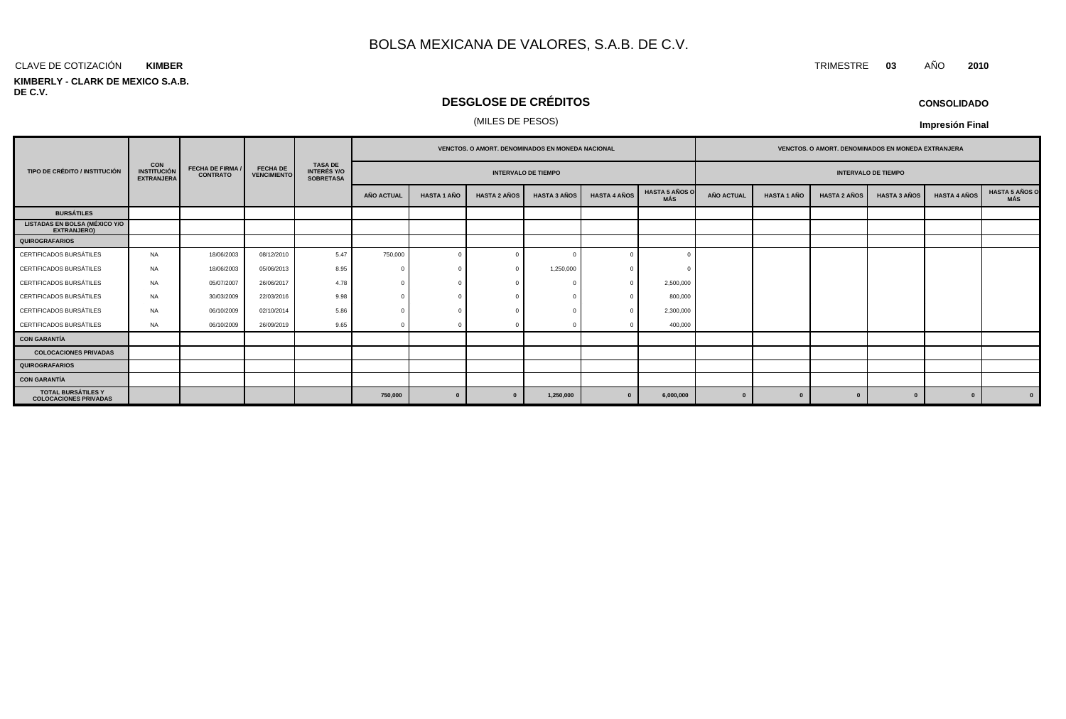#### CLAVE DE COTIZACIÓN TRIMESTRE **03** AÑO **2010 KIMBER**

#### **KIMBERLY - CLARK DE MEXICO S.A.B. DE C.V.**

## **DESGLOSE DE CRÉDITOS**

### (MILES DE PESOS)

| <b>CONSOLIDADO</b> |  |
|--------------------|--|
|--------------------|--|

|                                                            |                                                       | <b>FECHA DE FIRMA /</b><br><b>CONTRATO</b> |                                       | <b>TASA DE</b><br><b>INTERÉS Y/O</b><br><b>SOBRETASA</b> | <b>VENCTOS, O AMORT, DENOMINADOS EN MONEDA NACIONAL</b> |                    |                     |                     |                     |                              | <b>VENCTOS, O AMORT, DENOMINADOS EN MONEDA EXTRANJERA</b> |                    |                     |                     |                     |                                     |
|------------------------------------------------------------|-------------------------------------------------------|--------------------------------------------|---------------------------------------|----------------------------------------------------------|---------------------------------------------------------|--------------------|---------------------|---------------------|---------------------|------------------------------|-----------------------------------------------------------|--------------------|---------------------|---------------------|---------------------|-------------------------------------|
| TIPO DE CRÉDITO / INSTITUCIÓN                              | <b>CON</b><br><b>INSTITUCIÓN</b><br><b>EXTRANJERA</b> |                                            | <b>FECHA DE</b><br><b>VENCIMIENTO</b> |                                                          | <b>INTERVALO DE TIEMPO</b>                              |                    |                     |                     |                     |                              | <b>INTERVALO DE TIEMPO</b>                                |                    |                     |                     |                     |                                     |
|                                                            |                                                       |                                            |                                       |                                                          | AÑO ACTUAL                                              | <b>HASTA 1 AÑO</b> | <b>HASTA 2 AÑOS</b> | <b>HASTA 3 AÑOS</b> | <b>HASTA 4 AÑOS</b> | <b>HASTA 5 AÑOS O</b><br>MÁS | AÑO ACTUAL                                                | <b>HASTA 1 AÑO</b> | <b>HASTA 2 AÑOS</b> | <b>HASTA 3 AÑOS</b> | <b>HASTA 4 AÑOS</b> | <b>HASTA 5 AÑOS O</b><br><b>MÁS</b> |
| <b>BURSÁTILES</b>                                          |                                                       |                                            |                                       |                                                          |                                                         |                    |                     |                     |                     |                              |                                                           |                    |                     |                     |                     |                                     |
| <b>LISTADAS EN BOLSA (MÉXICO Y/O</b><br><b>EXTRANJERO)</b> |                                                       |                                            |                                       |                                                          |                                                         |                    |                     |                     |                     |                              |                                                           |                    |                     |                     |                     |                                     |
| <b>QUIROGRAFARIOS</b>                                      |                                                       |                                            |                                       |                                                          |                                                         |                    |                     |                     |                     |                              |                                                           |                    |                     |                     |                     |                                     |
| CERTIFICADOS BURSÁTILES                                    | <b>NA</b>                                             | 18/06/2003                                 | 08/12/2010                            | 5.47                                                     | 750,000                                                 |                    |                     |                     |                     |                              |                                                           |                    |                     |                     |                     |                                     |
| CERTIFICADOS BURSÁTILES                                    | NA                                                    | 18/06/2003                                 | 05/06/2013                            | 8.95                                                     |                                                         |                    | - 0                 | 1,250,000           |                     |                              |                                                           |                    |                     |                     |                     |                                     |
| CERTIFICADOS BURSÁTILES                                    | NA                                                    | 05/07/2007                                 | 26/06/2017                            | 4.78                                                     |                                                         |                    |                     |                     | $\Omega$            | 2,500,000                    |                                                           |                    |                     |                     |                     |                                     |
| CERTIFICADOS BURSÁTILES                                    | <b>NA</b>                                             | 30/03/2009                                 | 22/03/2016                            | 9.98                                                     |                                                         |                    |                     |                     |                     | 800,000                      |                                                           |                    |                     |                     |                     |                                     |
| CERTIFICADOS BURSÁTILES                                    | NA                                                    | 06/10/2009                                 | 02/10/2014                            | 5.86                                                     |                                                         |                    |                     |                     | $\Omega$            | 2,300,000                    |                                                           |                    |                     |                     |                     |                                     |
| CERTIFICADOS BURSÁTILES                                    | <b>NA</b>                                             | 06/10/2009                                 | 26/09/2019                            | 9.65                                                     |                                                         |                    |                     |                     |                     | 400,000                      |                                                           |                    |                     |                     |                     |                                     |
| <b>CON GARANTÍA</b>                                        |                                                       |                                            |                                       |                                                          |                                                         |                    |                     |                     |                     |                              |                                                           |                    |                     |                     |                     |                                     |
| <b>COLOCACIONES PRIVADAS</b>                               |                                                       |                                            |                                       |                                                          |                                                         |                    |                     |                     |                     |                              |                                                           |                    |                     |                     |                     |                                     |
| <b>QUIROGRAFARIOS</b>                                      |                                                       |                                            |                                       |                                                          |                                                         |                    |                     |                     |                     |                              |                                                           |                    |                     |                     |                     |                                     |
| <b>CON GARANTÍA</b>                                        |                                                       |                                            |                                       |                                                          |                                                         |                    |                     |                     |                     |                              |                                                           |                    |                     |                     |                     |                                     |
| <b>TOTAL BURSÁTILES Y</b><br><b>COLOCACIONES PRIVADAS</b>  |                                                       |                                            |                                       |                                                          | 750,000                                                 | $\mathbf{0}$       | $\bf{0}$            | 1,250,000           |                     | 6,000,000                    | $\mathbf{0}$                                              | $\Omega$           | $\Omega$            |                     | $\mathbf{0}$        | $\mathbf{0}$                        |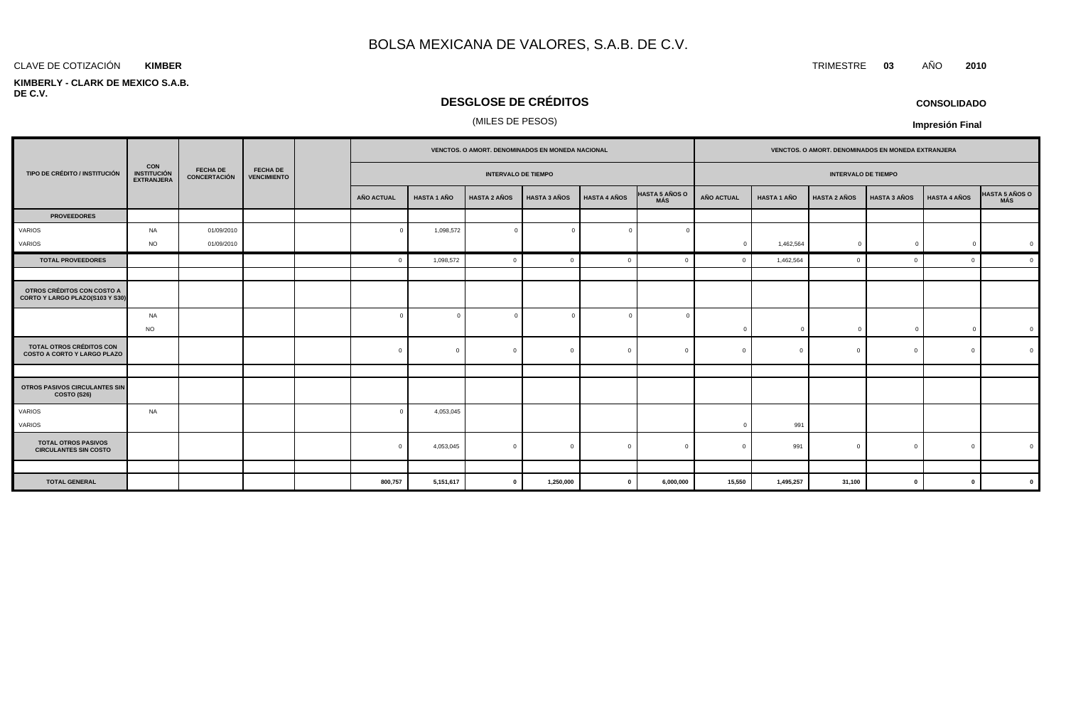#### **KIMBER**

#### **KIMBERLY - CLARK DE MEXICO S.A.B. DE C.V.**

## **DESGLOSE DE CRÉDITOS**

## (MILES DE PESOS)

|                                                                       |                                                       |                                        |                                       |  | VENCTOS. O AMORT. DENOMINADOS EN MONEDA NACIONAL |                    |                     |                     |                     |                              | VENCTOS. O AMORT. DENOMINADOS EN MONEDA EXTRANJERA |                    |                     |                     |                     |                |
|-----------------------------------------------------------------------|-------------------------------------------------------|----------------------------------------|---------------------------------------|--|--------------------------------------------------|--------------------|---------------------|---------------------|---------------------|------------------------------|----------------------------------------------------|--------------------|---------------------|---------------------|---------------------|----------------|
| TIPO DE CRÉDITO / INSTITUCIÓN                                         | <b>CON</b><br><b>INSTITUCIÓN</b><br><b>EXTRANJERA</b> | <b>FECHA DE</b><br><b>CONCERTACIÓN</b> | <b>FECHA DE</b><br><b>VENCIMIENTO</b> |  | <b>INTERVALO DE TIEMPO</b>                       |                    |                     |                     |                     |                              | <b>INTERVALO DE TIEMPO</b>                         |                    |                     |                     |                     |                |
|                                                                       |                                                       |                                        |                                       |  | <b>AÑO ACTUAL</b>                                | <b>HASTA 1 AÑO</b> | <b>HASTA 2 AÑOS</b> | <b>HASTA 3 AÑOS</b> | <b>HASTA 4 AÑOS</b> | <b>HASTA 5 AÑOS O</b><br>MÁS | <b>AÑO ACTUAL</b>                                  | <b>HASTA 1 AÑO</b> | <b>HASTA 2 AÑOS</b> | <b>HASTA 3 AÑOS</b> | <b>HASTA 4 AÑOS</b> | HASTA 5 AÑOS O |
| <b>PROVEEDORES</b>                                                    |                                                       |                                        |                                       |  |                                                  |                    |                     |                     |                     |                              |                                                    |                    |                     |                     |                     |                |
| VARIOS                                                                | NA                                                    | 01/09/2010                             |                                       |  | $\Omega$                                         | 1,098,572          | $\overline{0}$      | $\Omega$            | $\Omega$            |                              |                                                    |                    |                     |                     |                     |                |
| VARIOS                                                                | <b>NO</b>                                             | 01/09/2010                             |                                       |  |                                                  |                    |                     |                     |                     |                              | $\Omega$                                           | 1,462,564          | $\mathbf{0}$        | $\sqrt{2}$          | $\mathbf 0$         |                |
| <b>TOTAL PROVEEDORES</b>                                              |                                                       |                                        |                                       |  | $\Omega$                                         | 1,098,572          | $\mathbf{0}$        | $\Omega$            | $\Omega$            |                              | $\Omega$                                           | 1,462,564          | $\Omega$            | $\Omega$            | $\Omega$            | $\epsilon$     |
|                                                                       |                                                       |                                        |                                       |  |                                                  |                    |                     |                     |                     |                              |                                                    |                    |                     |                     |                     |                |
| OTROS CRÉDITOS CON COSTO A<br>CORTO Y LARGO PLAZO(S103 Y S30)         |                                                       |                                        |                                       |  |                                                  |                    |                     |                     |                     |                              |                                                    |                    |                     |                     |                     |                |
|                                                                       | NA<br><b>NO</b>                                       |                                        |                                       |  |                                                  |                    | $\overline{0}$      |                     | $\Omega$            |                              | $\Omega$                                           | $\Omega$           | $\Omega$            |                     | $\Omega$            |                |
| <b>TOTAL OTROS CRÉDITOS CON</b><br><b>COSTO A CORTO Y LARGO PLAZO</b> |                                                       |                                        |                                       |  | $\mathbf{0}$                                     | $\Omega$           | $\overline{0}$      | $\Omega$            | $\mathbf{0}$        | $\Omega$                     | $\Omega$                                           | $\Omega$           | $\Omega$            | $\Omega$            | $\mathbf{0}$        |                |
|                                                                       |                                                       |                                        |                                       |  |                                                  |                    |                     |                     |                     |                              |                                                    |                    |                     |                     |                     |                |
| <b>OTROS PASIVOS CIRCULANTES SIN</b><br>COSTO (S26)                   |                                                       |                                        |                                       |  |                                                  |                    |                     |                     |                     |                              |                                                    |                    |                     |                     |                     |                |
| VARIOS<br>VARIOS                                                      | NA                                                    |                                        |                                       |  |                                                  | 4,053,045          |                     |                     |                     |                              |                                                    | 991                |                     |                     |                     |                |
| <b>TOTAL OTROS PASIVOS</b><br><b>CIRCULANTES SIN COSTO</b>            |                                                       |                                        |                                       |  | $\Omega$                                         | 4,053,045          | $\overline{0}$      | $\Omega$            | $\Omega$            | $\Omega$                     |                                                    | 991                | $\Omega$            | $\sqrt{ }$          | $\Omega$            |                |
|                                                                       |                                                       |                                        |                                       |  |                                                  |                    |                     |                     |                     |                              |                                                    |                    |                     |                     |                     |                |
| <b>TOTAL GENERAL</b>                                                  |                                                       |                                        |                                       |  | 800,757                                          | 5,151,617          | $\mathbf{0}$        | 1,250,000           | $\mathbf 0$         | 6,000,000                    | 15,550                                             | 1,495,257          | 31,100              | $\mathbf{0}$        | $\mathbf{0}$        |                |

## **CONSOLIDADO**

**Impresión Final**

CLAVE DE COTIZACIÓN TRIMESTRE **03** AÑO **2010**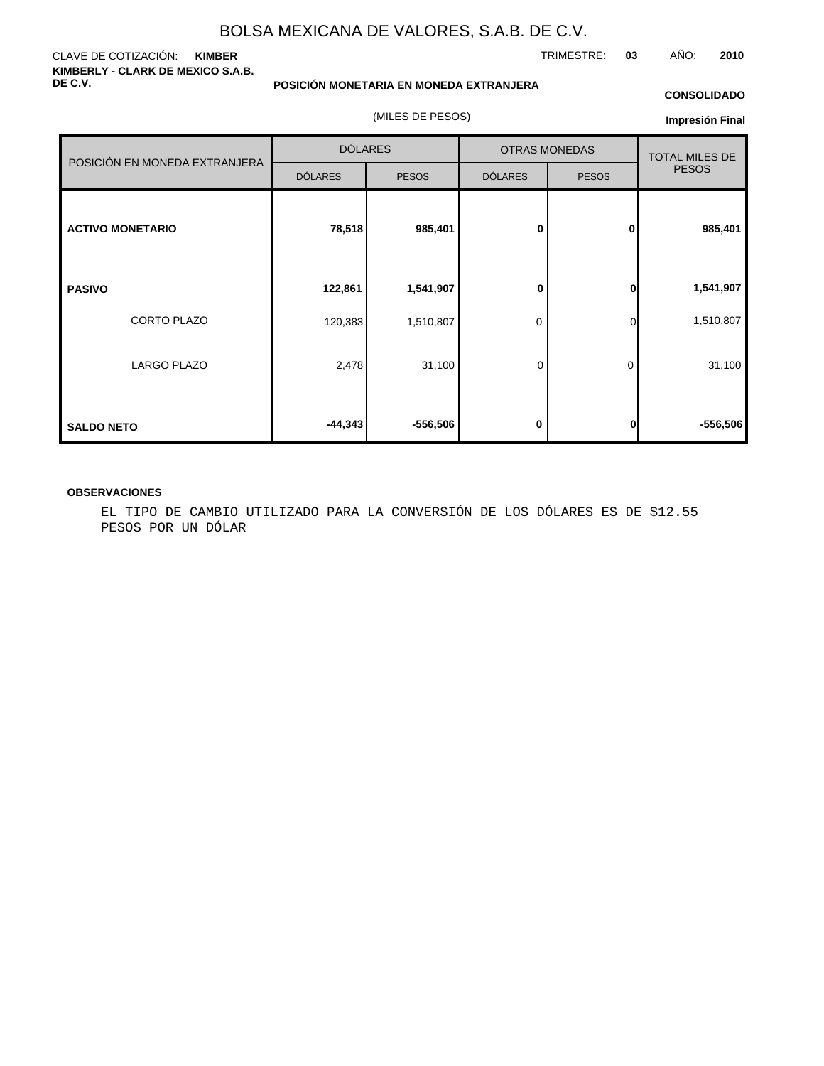#### CLAVE DE COTIZACIÓN: **KIMBER KIMBERLY - CLARK DE MEXICO S.A.B. DE C.V.**

**POSICIÓN MONETARIA EN MONEDA EXTRANJERA**

(MILES DE PESOS)

### **CONSOLIDADO**

**Impresión Final**

|                               | <b>DÓLARES</b> |              |                | <b>OTRAS MONEDAS</b> | <b>TOTAL MILES DE</b><br><b>PESOS</b> |  |
|-------------------------------|----------------|--------------|----------------|----------------------|---------------------------------------|--|
| POSICIÓN EN MONEDA EXTRANJERA | <b>DÓLARES</b> | <b>PESOS</b> | <b>DÓLARES</b> | <b>PESOS</b>         |                                       |  |
| <b>ACTIVO MONETARIO</b>       | 78,518         | 985,401      | 0              | 0                    | 985,401                               |  |
| <b>PASIVO</b>                 | 122,861        | 1,541,907    | 0              | $\bf{0}$             | 1,541,907                             |  |
| CORTO PLAZO                   | 120,383        | 1,510,807    | 0              | $\overline{0}$       | 1,510,807                             |  |
| LARGO PLAZO                   | 2,478          | 31,100       | 0              | 0                    | 31,100                                |  |
| <b>SALDO NETO</b>             | $-44,343$      | -556,506     | 0              | $\mathbf{0}$         | $-556,506$                            |  |

#### **OBSERVACIONES**

EL TIPO DE CAMBIO UTILIZADO PARA LA CONVERSIÓN DE LOS DÓLARES ES DE \$12.55 PESOS POR UN DÓLAR

TRIMESTRE: **03** AÑO: **2010**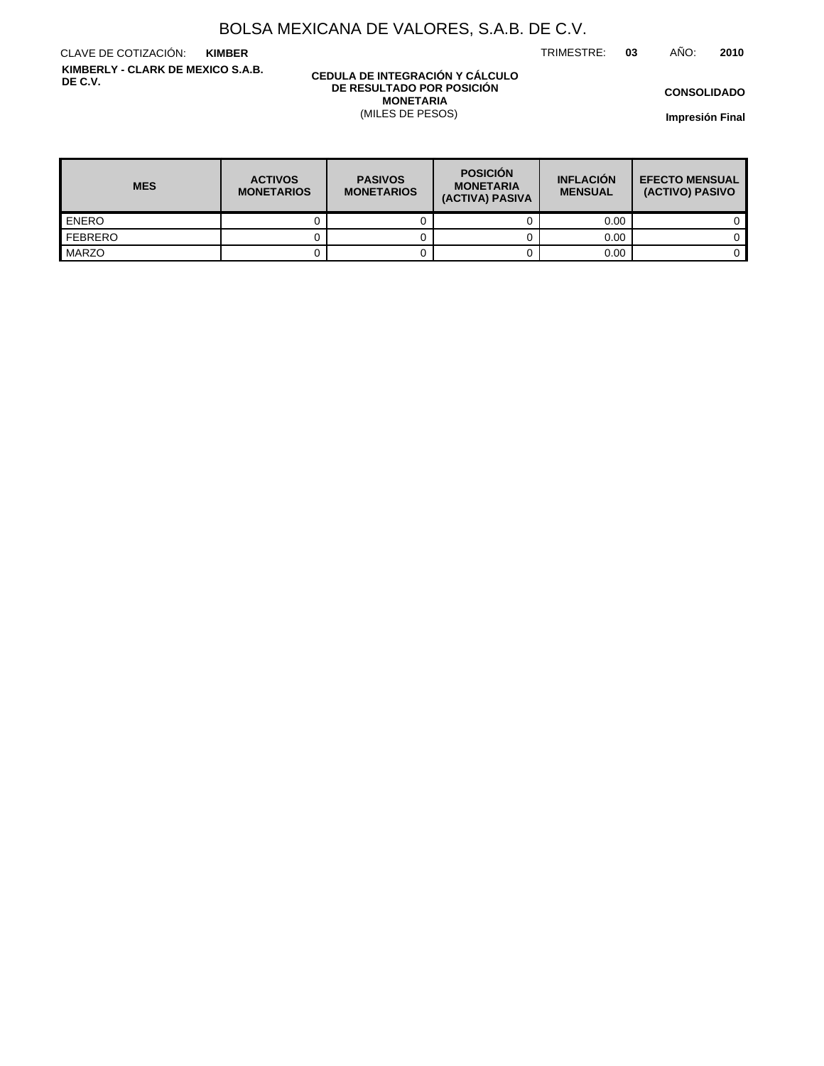TRIMESTRE: **03** AÑO: **2010**

CLAVE DE COTIZACIÓN: **KIMBER KIMBERLY - CLARK DE MEXICO S.A.B. DE C.V.**

#### **CEDULA DE INTEGRACIÓN Y CÁLCULO DE RESULTADO POR POSICIÓN MONETARIA** (MILES DE PESOS)

**CONSOLIDADO**

| <b>MES</b>       | <b>ACTIVOS</b><br><b>MONETARIOS</b> | <b>PASIVOS</b><br><b>MONETARIOS</b> | <b>POSICIÓN</b><br><b>MONETARIA</b><br>(ACTIVA) PASIVA | <b>INFLACIÓN</b><br><b>MENSUAL</b> | <b>EFECTO MENSUAL</b><br>(ACTIVO) PASIVO |  |
|------------------|-------------------------------------|-------------------------------------|--------------------------------------------------------|------------------------------------|------------------------------------------|--|
| <b>ENERO</b>     |                                     |                                     |                                                        | 0.00                               |                                          |  |
| <b>I</b> FEBRERO |                                     |                                     |                                                        | 0.00                               |                                          |  |
| <b>MARZO</b>     |                                     |                                     |                                                        | 0.00                               |                                          |  |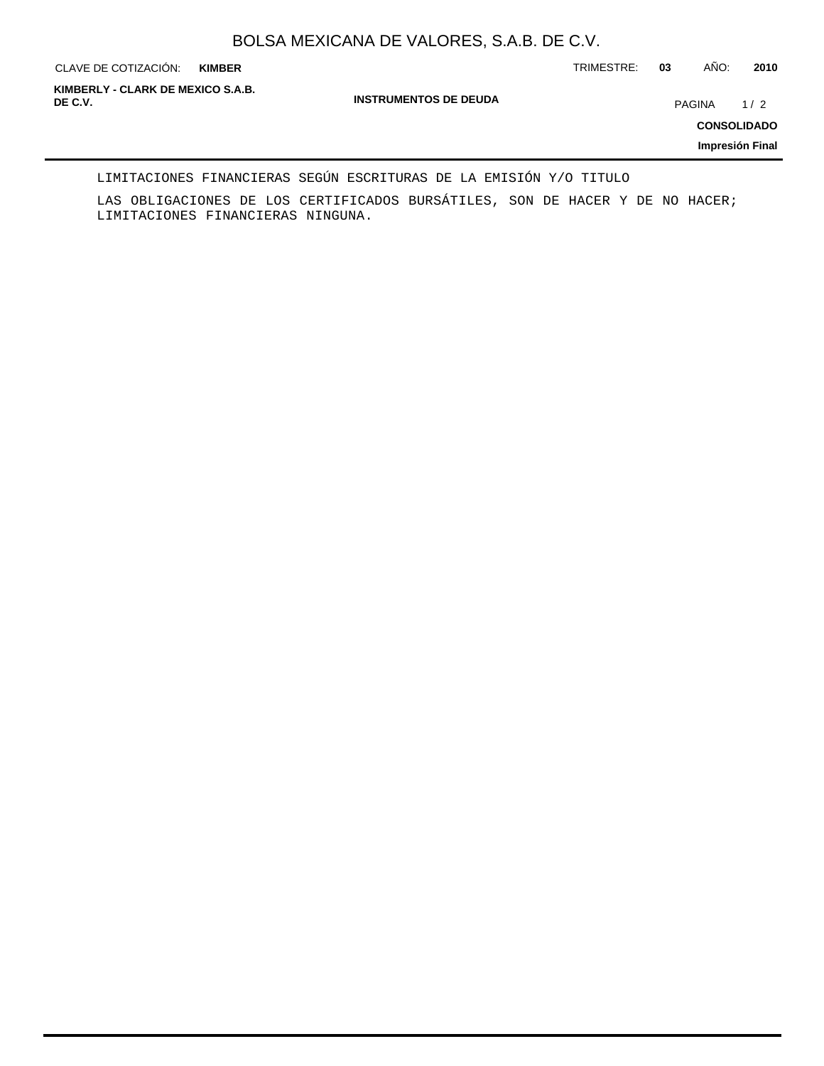**KIMBER**

CLAVE DE COTIZACIÓN: TRIMESTRE: **03** AÑO: **2010**

**INSTRUMENTOS DE DEUDA DE C.V.** PAGINA 1 / 2 **KIMBERLY - CLARK DE MEXICO S.A.B.**

**CONSOLIDADO**

**Impresión Final**

#### LIMITACIONES FINANCIERAS SEGÚN ESCRITURAS DE LA EMISIÓN Y/O TITULO

LAS OBLIGACIONES DE LOS CERTIFICADOS BURSÁTILES, SON DE HACER Y DE NO HACER; LIMITACIONES FINANCIERAS NINGUNA.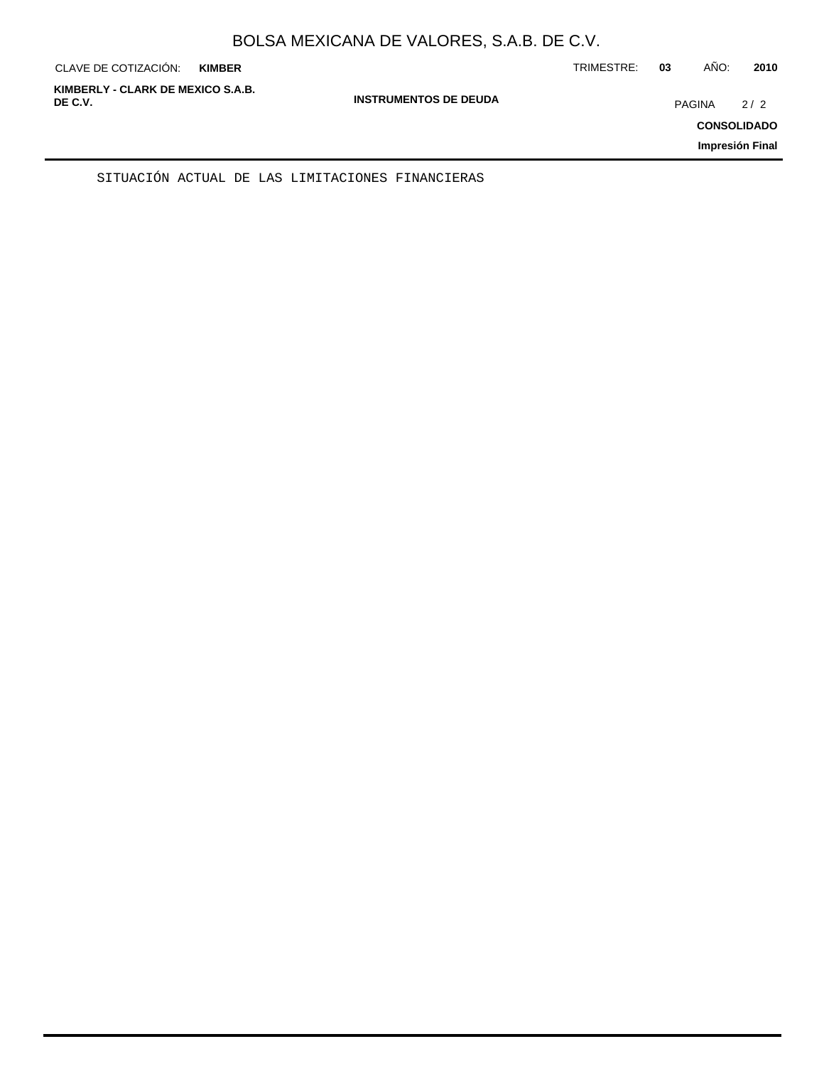| CLAVE DE COTIZACIÓN:                         | <b>KIMBER</b> |                              | TRIMESTRE: | 03            | AÑO: | 2010                                         |
|----------------------------------------------|---------------|------------------------------|------------|---------------|------|----------------------------------------------|
| KIMBERLY - CLARK DE MEXICO S.A.B.<br>DE C.V. |               | <b>INSTRUMENTOS DE DEUDA</b> |            | <b>PAGINA</b> |      | 2/2<br><b>CONSOLIDADO</b><br>Impresión Final |
|                                              |               |                              |            |               |      |                                              |

SITUACIÓN ACTUAL DE LAS LIMITACIONES FINANCIERAS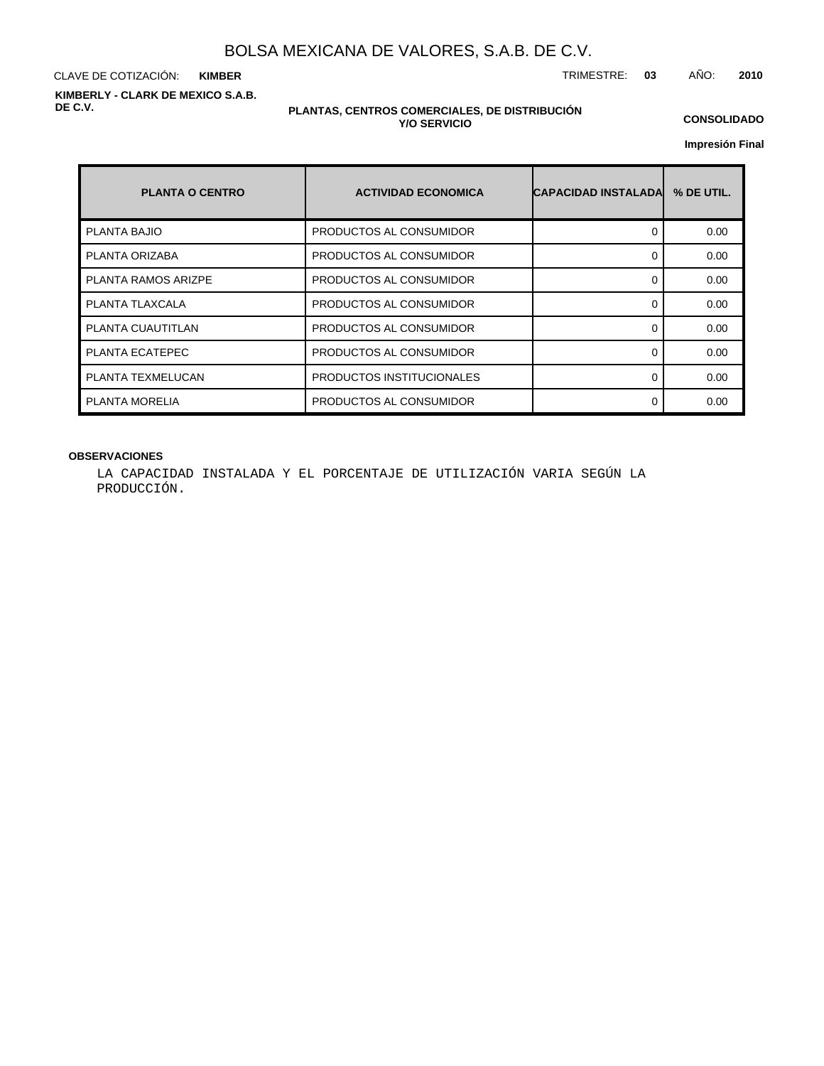CLAVE DE COTIZACIÓN: TRIMESTRE: **03** AÑO: **2010 KIMBER KIMBERLY - CLARK DE MEXICO S.A.B. DE C.V.**

#### **PLANTAS, CENTROS COMERCIALES, DE DISTRIBUCIÓN Y/O SERVICIO**

**CONSOLIDADO**

**Impresión Final**

| <b>PLANTA O CENTRO</b>     | <b>ACTIVIDAD ECONOMICA</b> | <b>CAPACIDAD INSTALADAL</b> | % DE UTIL. |
|----------------------------|----------------------------|-----------------------------|------------|
| <b>PLANTA BAJIO</b>        | PRODUCTOS AL CONSUMIDOR    | 0                           | 0.00       |
| PLANTA ORIZABA             | PRODUCTOS AL CONSUMIDOR    | ŋ                           | 0.00       |
| <b>PLANTA RAMOS ARIZPE</b> | PRODUCTOS AL CONSUMIDOR    | ŋ                           | 0.00       |
| PLANTA TLAXCALA            | PRODUCTOS AL CONSUMIDOR    | ∩                           | 0.00       |
| PLANTA CUAUTITLAN          | PRODUCTOS AL CONSUMIDOR    | ŋ                           | 0.00       |
| PLANTA ECATEPEC            | PRODUCTOS AL CONSUMIDOR    | ŋ                           | 0.00       |
| PLANTA TEXMELUCAN          | PRODUCTOS INSTITUCIONALES  | 0                           | 0.00       |
| PLANTA MORELIA             | PRODUCTOS AL CONSUMIDOR    | ŋ                           | 0.00       |

### **OBSERVACIONES**

LA CAPACIDAD INSTALADA Y EL PORCENTAJE DE UTILIZACIÓN VARIA SEGÚN LA PRODUCCIÓN.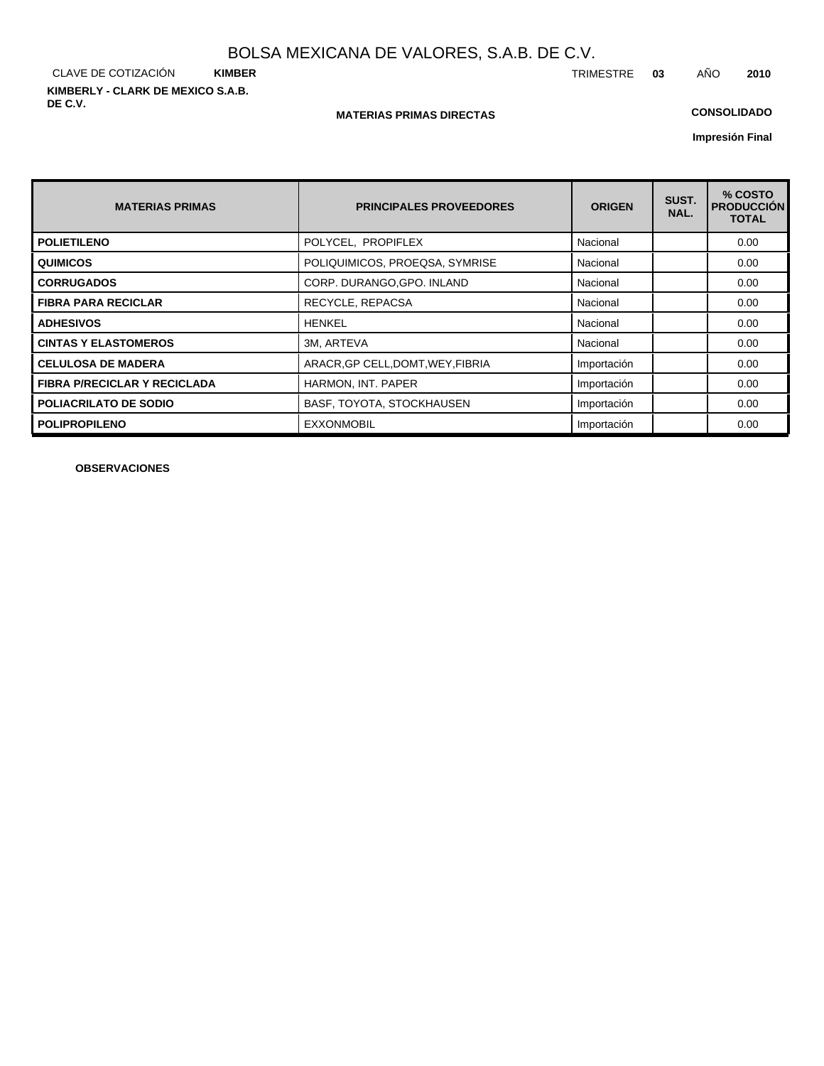CLAVE DE COTIZACIÓN **KIMBER KIMBERLY - CLARK DE MEXICO S.A.B. DE C.V.**

#### **MATERIAS PRIMAS DIRECTAS**

## **CONSOLIDADO**

**Impresión Final**

| <b>MATERIAS PRIMAS</b>              | <b>PRINCIPALES PROVEEDORES</b>    | <b>ORIGEN</b> | SUST.<br>NAL. | % COSTO<br><b>PRODUCCIÓN</b><br><b>TOTAL</b> |
|-------------------------------------|-----------------------------------|---------------|---------------|----------------------------------------------|
| <b>POLIETILENO</b>                  | POLYCEL, PROPIFLEX                | Nacional      |               | 0.00                                         |
| <b>QUIMICOS</b>                     | POLIQUIMICOS, PROEQSA, SYMRISE    | Nacional      |               | 0.00                                         |
| <b>CORRUGADOS</b>                   | CORP. DURANGO, GPO. INLAND        | Nacional      |               | 0.00                                         |
| <b>FIBRA PARA RECICLAR</b>          | RECYCLE, REPACSA                  | Nacional      |               | 0.00                                         |
| <b>ADHESIVOS</b>                    | <b>HENKEL</b>                     | Nacional      |               | 0.00                                         |
| <b>CINTAS Y ELASTOMEROS</b>         | 3M, ARTEVA                        | Nacional      |               | 0.00                                         |
| <b>CELULOSA DE MADERA</b>           | ARACR, GP CELL, DOMT, WEY, FIBRIA | Importación   |               | 0.00                                         |
| <b>FIBRA P/RECICLAR Y RECICLADA</b> | HARMON, INT. PAPER                | Importación   |               | 0.00                                         |
| <b>POLIACRILATO DE SODIO</b>        | BASF, TOYOTA, STOCKHAUSEN         | Importación   |               | 0.00                                         |
| <b>POLIPROPILENO</b>                | <b>EXXONMOBIL</b>                 | Importación   |               | 0.00                                         |

**OBSERVACIONES**

TRIMESTRE **03** AÑO **2010**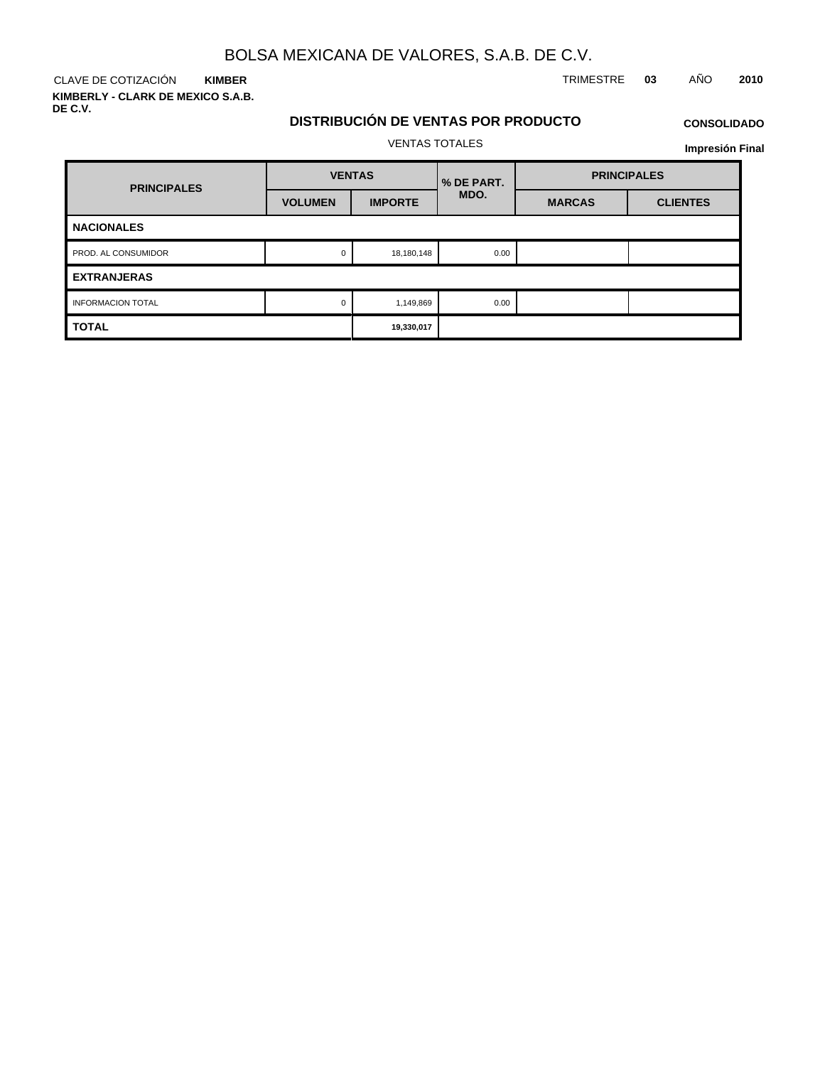CLAVE DE COTIZACIÓN TRIMESTRE **03** AÑO **2010 KIMBER**

**KIMBERLY - CLARK DE MEXICO S.A.B. DE C.V.**

## **DISTRIBUCIÓN DE VENTAS POR PRODUCTO** VENTAS TOTALES

## **CONSOLIDADO Impresión Final**

| <b>PRINCIPALES</b>       | <b>VENTAS</b>  |                | <b>% DE PART.</b> | <b>PRINCIPALES</b> |                 |  |  |
|--------------------------|----------------|----------------|-------------------|--------------------|-----------------|--|--|
|                          | <b>VOLUMEN</b> | <b>IMPORTE</b> | MDO.              | <b>MARCAS</b>      | <b>CLIENTES</b> |  |  |
| <b>NACIONALES</b>        |                |                |                   |                    |                 |  |  |
| PROD. AL CONSUMIDOR      | 0              | 18,180,148     | 0.00              |                    |                 |  |  |
| <b>EXTRANJERAS</b>       |                |                |                   |                    |                 |  |  |
| <b>INFORMACION TOTAL</b> | 0              | 1,149,869      | 0.00              |                    |                 |  |  |
| <b>TOTAL</b>             |                | 19,330,017     |                   |                    |                 |  |  |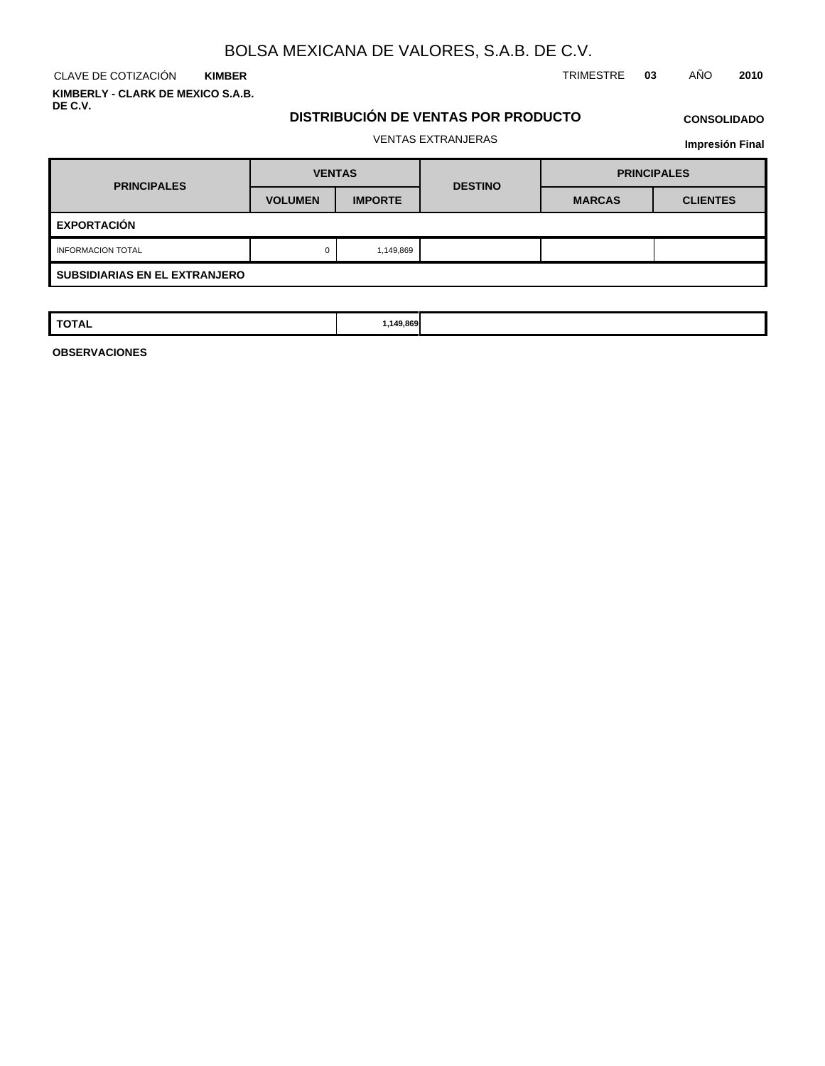CLAVE DE COTIZACIÓN TRIMESTRE **03** AÑO **2010 KIMBER KIMBERLY - CLARK DE MEXICO S.A.B.**

**DE C.V.**

## **DISTRIBUCIÓN DE VENTAS POR PRODUCTO**

## **CONSOLIDADO**

## VENTAS EXTRANJERAS

**Impresión Final**

| <b>PRINCIPALES</b>                   | <b>VENTAS</b>  |                | <b>DESTINO</b> | <b>PRINCIPALES</b> |                 |  |  |
|--------------------------------------|----------------|----------------|----------------|--------------------|-----------------|--|--|
|                                      | <b>VOLUMEN</b> | <b>IMPORTE</b> |                | <b>MARCAS</b>      | <b>CLIENTES</b> |  |  |
| <b>EXPORTACIÓN</b>                   |                |                |                |                    |                 |  |  |
| <b>INFORMACION TOTAL</b>             | 0              | 1,149,869      |                |                    |                 |  |  |
| <b>SUBSIDIARIAS EN EL EXTRANJERO</b> |                |                |                |                    |                 |  |  |

| TOTAL | ,149,869<br>$\sim$ |  |  |
|-------|--------------------|--|--|
|       |                    |  |  |

**OBSERVACIONES**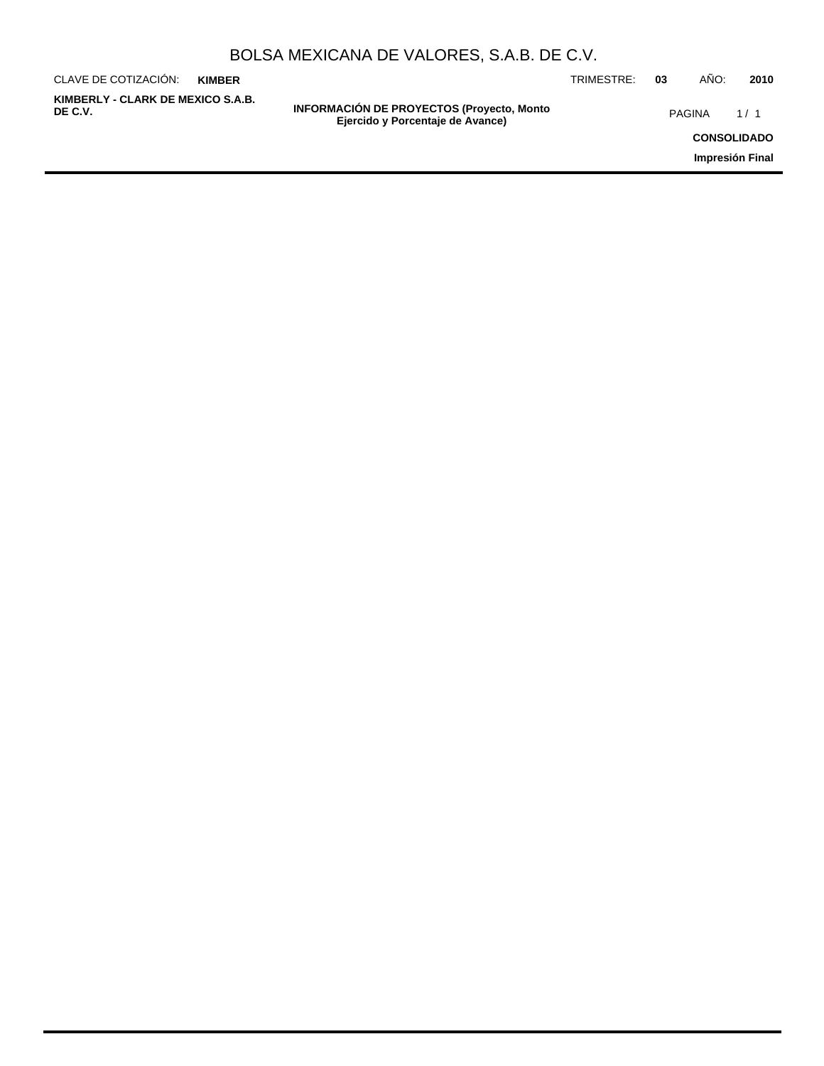| BOLSA MEXICANA DE VALORES, S.A.B. DE C.V. |  |  |  |
|-------------------------------------------|--|--|--|
|-------------------------------------------|--|--|--|

| CLAVE DE COTIZACIÓN:                         | <b>KIMBER</b> |                                                                                       | TRIMESTRE: | 03 | ANO:               | 2010 |
|----------------------------------------------|---------------|---------------------------------------------------------------------------------------|------------|----|--------------------|------|
| KIMBERLY - CLARK DE MEXICO S.A.B.<br>DE C.V. |               | <b>INFORMACIÓN DE PROYECTOS (Proyecto, Monto)</b><br>Ejercido y Porcentaje de Avance) |            |    | <b>PAGINA</b>      | 1/1  |
|                                              |               |                                                                                       |            |    | <b>CONSOLIDADO</b> |      |
|                                              |               |                                                                                       |            |    | Impresión Final    |      |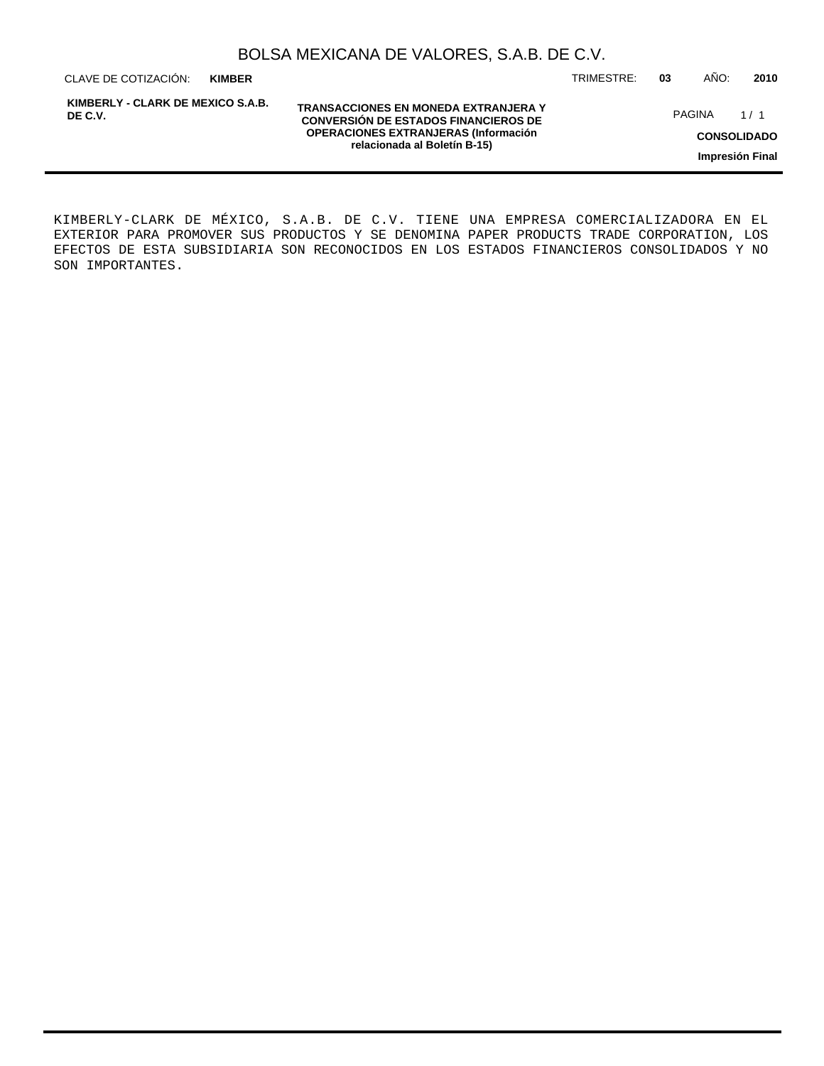| BOLSA MEXICANA DE VALORES, S.A.B. DE C.V. |  |  |  |
|-------------------------------------------|--|--|--|
|-------------------------------------------|--|--|--|

CLAVE DE COTIZACIÓN: TRIMESTRE: **03** AÑO: **2010 KIMBER**

**KIMBERLY - CLARK DE MEXICO S.A.B. DE C.V.**

**TRANSACCIONES EN MONEDA EXTRANJERA Y CONVERSIÓN DE ESTADOS FINANCIEROS DE OPERACIONES EXTRANJERAS (Información relacionada al Boletín B-15)**

PAGINA 1/1

**CONSOLIDADO**

**Impresión Final**

KIMBERLY-CLARK DE MÉXICO, S.A.B. DE C.V. TIENE UNA EMPRESA COMERCIALIZADORA EN EL EXTERIOR PARA PROMOVER SUS PRODUCTOS Y SE DENOMINA PAPER PRODUCTS TRADE CORPORATION, LOS EFECTOS DE ESTA SUBSIDIARIA SON RECONOCIDOS EN LOS ESTADOS FINANCIEROS CONSOLIDADOS Y NO SON IMPORTANTES.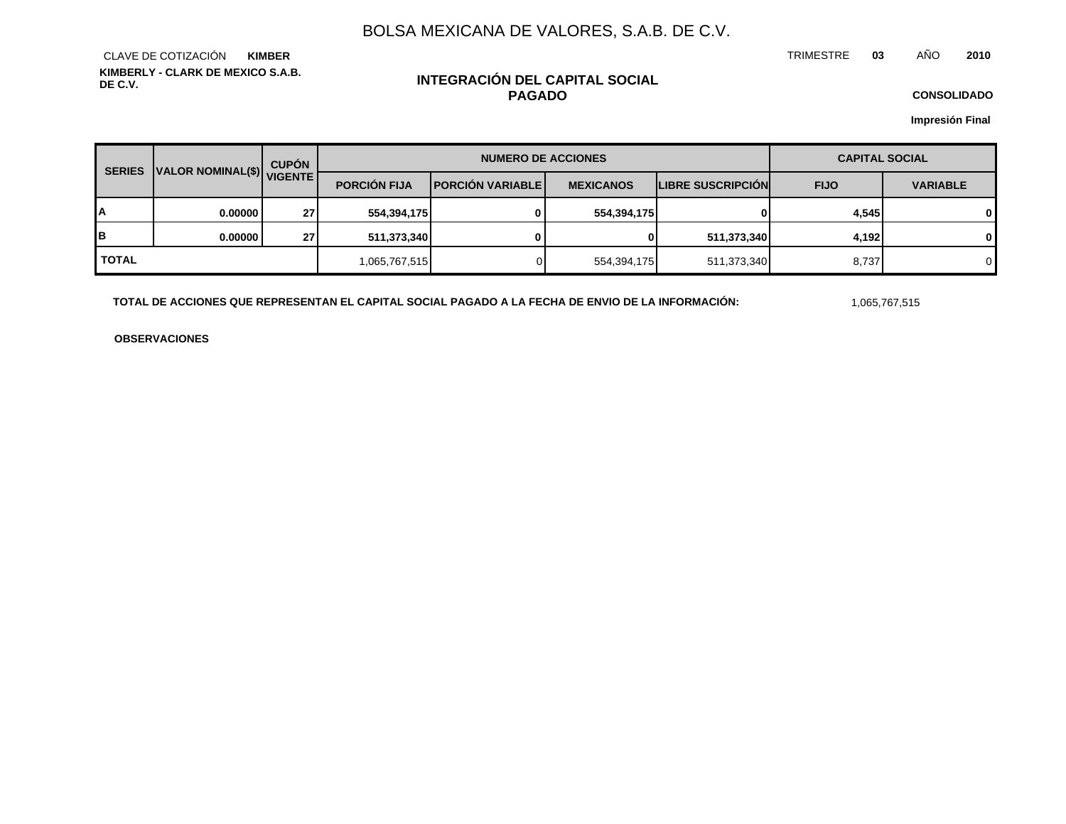TRIMESTRE **03** AÑO **2010**

**KIMBERLY - CLARK DE MEXICO S.A.B. DE C.V.** CLAVE DE COTIZACIÓN **KIMBER**

## **INTEGRACIÓN DEL CAPITAL SOCIAL PAGADO**

**CONSOLIDADO**

**Impresión Final**

| <b>SERIES</b> |                           | <b>CUPÓN</b> | <b>NUMERO DE ACCIONES</b> |                           |                  |                          | <b>CAPITAL SOCIAL</b> |                 |  |
|---------------|---------------------------|--------------|---------------------------|---------------------------|------------------|--------------------------|-----------------------|-----------------|--|
|               | VALOR NOMINAL(\$) VIGENTE |              | <b>PORCIÓN FIJA</b>       | <b>IPORCIÓN VARIABLEI</b> | <b>MEXICANOS</b> | <b>LIBRE SUSCRIPCIÓN</b> | <b>FIJO</b>           | <b>VARIABLE</b> |  |
| А             | 0.00000                   | 27           | 554,394,175               | $\Omega$                  | 554,394,175      |                          | 4,545                 | $\mathbf{0}$    |  |
| B             | 0.00000                   | 27           | 511,373,340               | 0                         | 01               | 511,373,340              | 4,192                 | $\mathbf{0}$    |  |
| <b>TOTAL</b>  |                           |              | 1,065,767,515             |                           | 554,394,175      | 511,373,340              | 8,737                 | $\Omega$        |  |

TOTAL DE ACCIONES QUE REPRESENTAN EL CAPITAL SOCIAL PAGADO A LA FECHA DE ENVIO DE LA INFORMACIÓN: 1,065,767,515

**OBSERVACIONES**